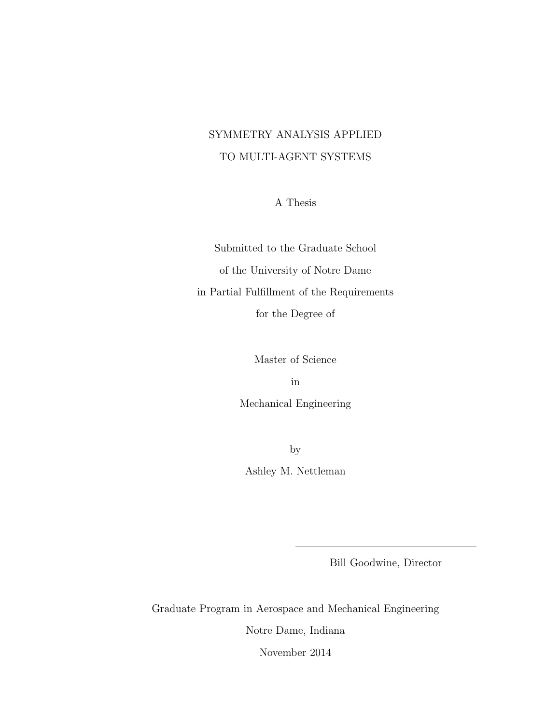# SYMMETRY ANALYSIS APPLIED TO MULTI-AGENT SYSTEMS

A Thesis

Submitted to the Graduate School of the University of Notre Dame in Partial Fulfillment of the Requirements for the Degree of

Master of Science

in

Mechanical Engineering

by Ashley M. Nettleman

Bill Goodwine, Director

Graduate Program in Aerospace and Mechanical Engineering Notre Dame, Indiana

November 2014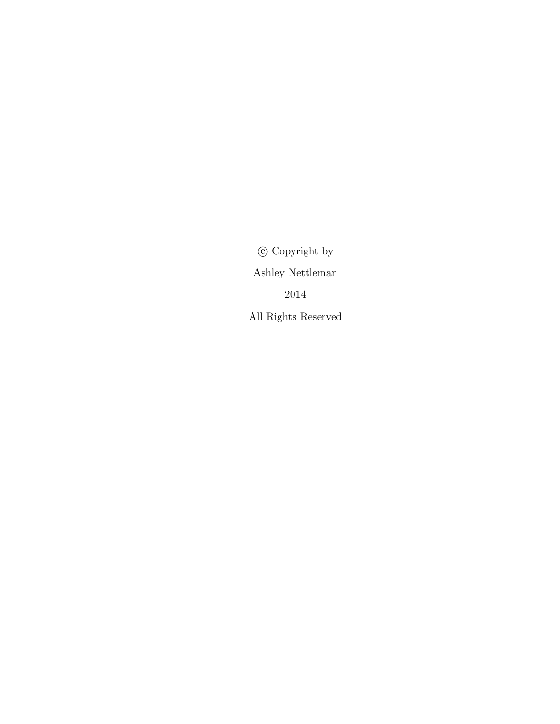$\copyright$  Copyright by Ashley Nettleman 2014 All Rights Reserved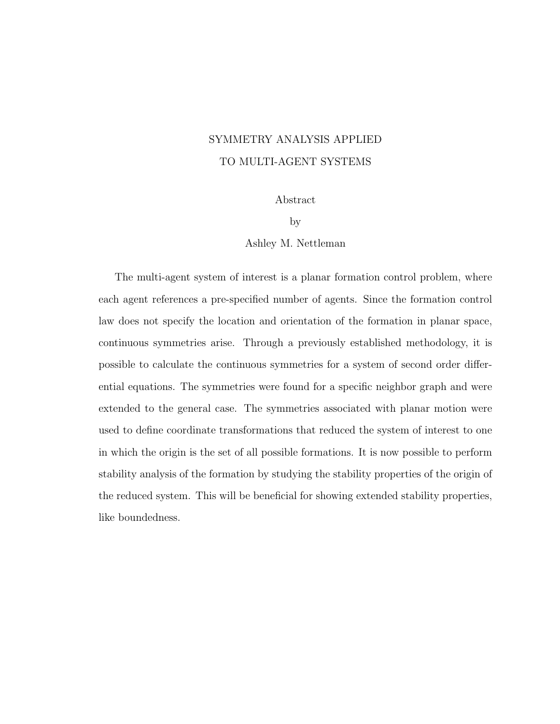# SYMMETRY ANALYSIS APPLIED TO MULTI-AGENT SYSTEMS

Abstract

by

Ashley M. Nettleman

The multi-agent system of interest is a planar formation control problem, where each agent references a pre-specified number of agents. Since the formation control law does not specify the location and orientation of the formation in planar space, continuous symmetries arise. Through a previously established methodology, it is possible to calculate the continuous symmetries for a system of second order differential equations. The symmetries were found for a specific neighbor graph and were extended to the general case. The symmetries associated with planar motion were used to define coordinate transformations that reduced the system of interest to one in which the origin is the set of all possible formations. It is now possible to perform stability analysis of the formation by studying the stability properties of the origin of the reduced system. This will be beneficial for showing extended stability properties, like boundedness.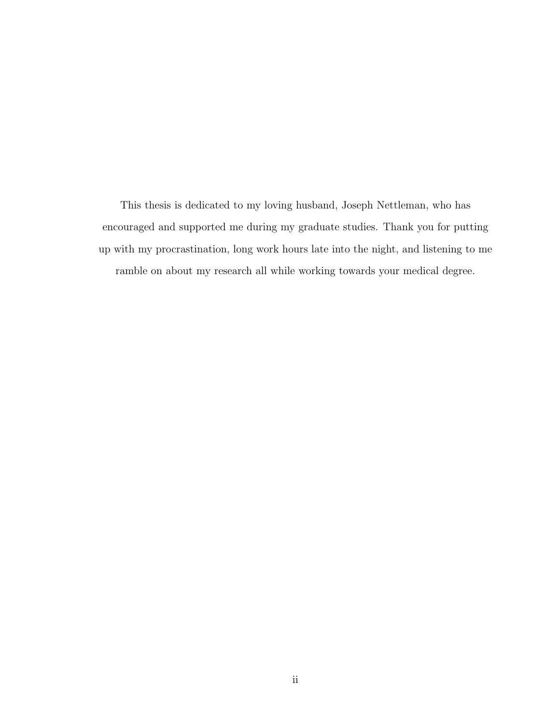This thesis is dedicated to my loving husband, Joseph Nettleman, who has encouraged and supported me during my graduate studies. Thank you for putting up with my procrastination, long work hours late into the night, and listening to me ramble on about my research all while working towards your medical degree.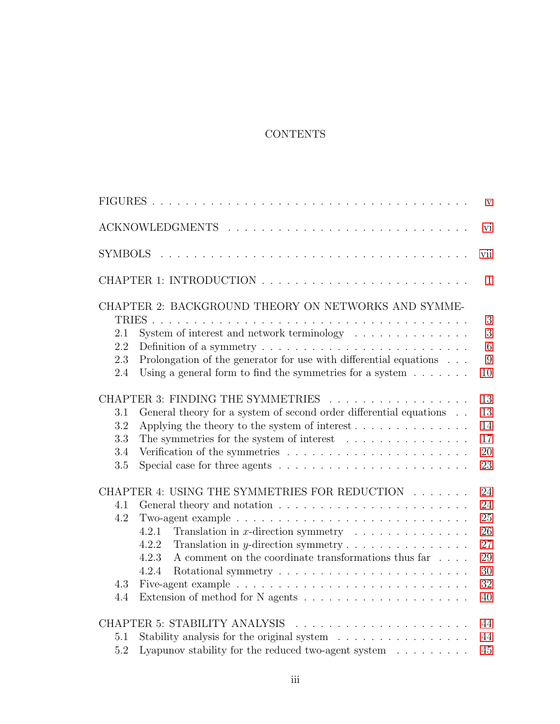## CONTENTS

|                |                                                                                           | $\mathbf{V}$ |
|----------------|-------------------------------------------------------------------------------------------|--------------|
|                |                                                                                           | vi           |
| <b>SYMBOLS</b> |                                                                                           | vii          |
|                |                                                                                           | $\mathbf{1}$ |
|                | CHAPTER 2: BACKGROUND THEORY ON NETWORKS AND SYMME-<br>TRIES.                             | 3            |
| 2.1            | System of interest and network terminology                                                | 3            |
| 2.2            | Definition of a symmetry $\dots \dots \dots \dots \dots \dots \dots \dots \dots \dots$    | 6            |
| 2.3            | Prolongation of the generator for use with differential equations $\ldots$                | 9            |
| 2.4            | Using a general form to find the symmetries for a system $\dots \dots$                    | 10           |
|                | CHAPTER 3: FINDING THE SYMMETRIES                                                         | 13           |
| 3.1            | General theory for a system of second order differential equations                        | 13           |
| 3.2            |                                                                                           | 14           |
| 3.3            | The symmetries for the system of interest $\ldots \ldots \ldots \ldots \ldots$            | 17           |
| 3.4            |                                                                                           | 20           |
| 3.5            | Special case for three agents $\dots \dots \dots \dots \dots \dots \dots \dots \dots$     | 23           |
|                | CHAPTER 4: USING THE SYMMETRIES FOR REDUCTION                                             | 24           |
| 4.1            |                                                                                           | 24           |
| 4.2            | Two-agent example $\ldots \ldots \ldots \ldots \ldots \ldots \ldots \ldots \ldots \ldots$ | 25           |
|                | 4.2.1<br>Translation in x-direction symmetry $\ldots \ldots \ldots \ldots$                | 26           |
|                | Translation in $y$ -direction symmetry<br>4.2.2                                           | 27           |
|                | A comment on the coordinate transformations thus far $\dots$ .<br>4.2.3                   | 29           |
|                | 4.2.4                                                                                     | 30           |
| 4.3            |                                                                                           | 32           |
| 4.4            |                                                                                           | 40           |
|                |                                                                                           | 44           |
| 5.1            | Stability analysis for the original system                                                | 44           |
| 5.2            | Lyapunov stability for the reduced two-agent system $\ldots \ldots \ldots$                | 45           |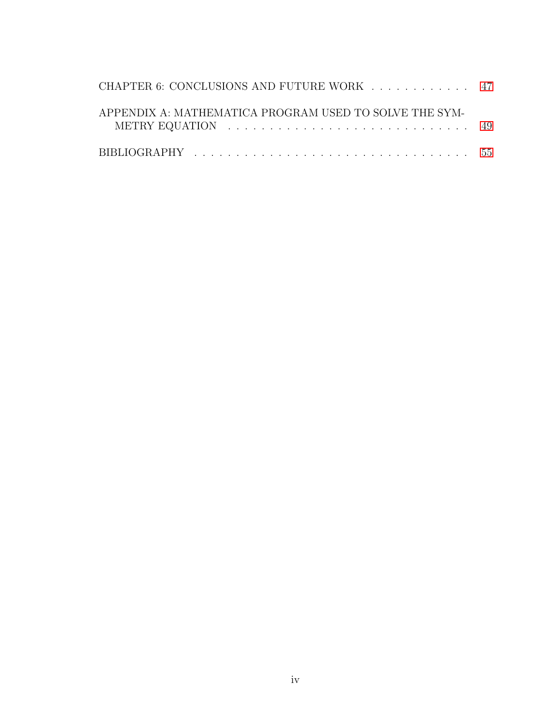| CHAPTER 6: CONCLUSIONS AND FUTURE WORK 47              |  |
|--------------------------------------------------------|--|
| APPENDIX A: MATHEMATICA PROGRAM USED TO SOLVE THE SYM- |  |
|                                                        |  |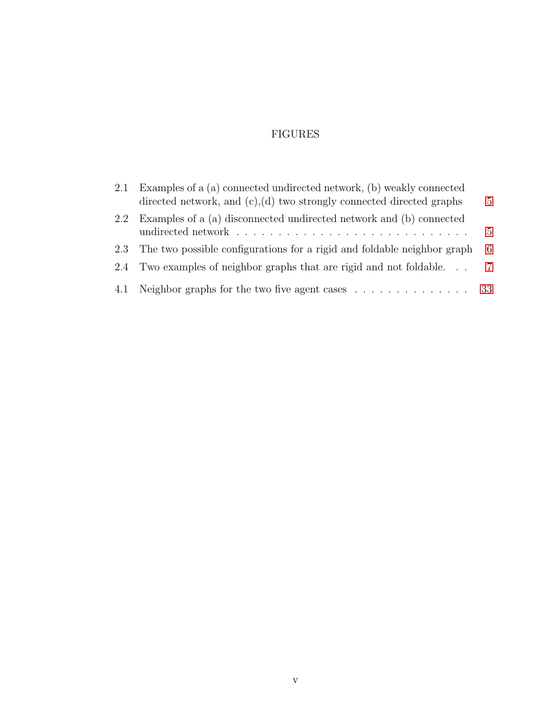## FIGURES

<span id="page-6-0"></span>

| 2.1 | Examples of a (a) connected undirected network, (b) weakly connected<br>directed network, and $(c)$ , $(d)$ two strongly connected directed graphs | 5            |
|-----|----------------------------------------------------------------------------------------------------------------------------------------------------|--------------|
|     | 2.2 Examples of a (a) disconnected undirected network and (b) connected                                                                            | $\mathbf{5}$ |
|     | 2.3 The two possible configurations for a rigid and foldable neighbor graph                                                                        | 6            |
| 2.4 | Two examples of neighbor graphs that are rigid and not foldable                                                                                    | 7            |
|     | 4.1 Neighbor graphs for the two five agent cases 33                                                                                                |              |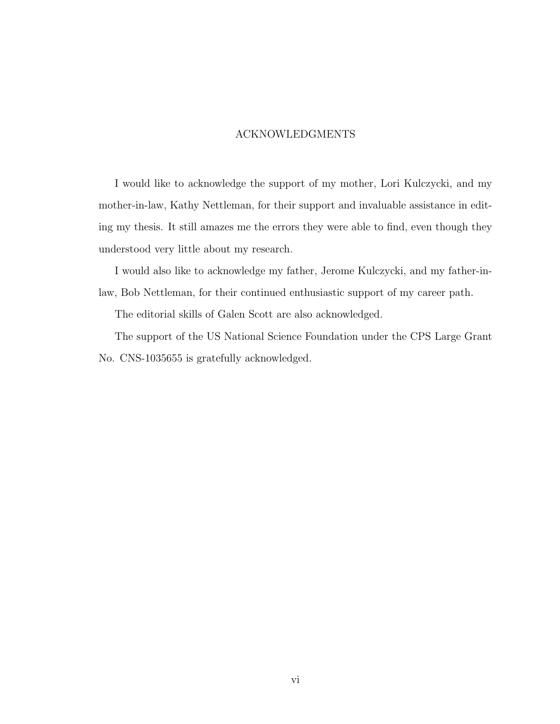## ACKNOWLEDGMENTS

<span id="page-7-0"></span>I would like to acknowledge the support of my mother, Lori Kulczycki, and my mother-in-law, Kathy Nettleman, for their support and invaluable assistance in editing my thesis. It still amazes me the errors they were able to find, even though they understood very little about my research.

I would also like to acknowledge my father, Jerome Kulczycki, and my father-inlaw, Bob Nettleman, for their continued enthusiastic support of my career path.

The editorial skills of Galen Scott are also acknowledged.

The support of the US National Science Foundation under the CPS Large Grant No. CNS-1035655 is gratefully acknowledged.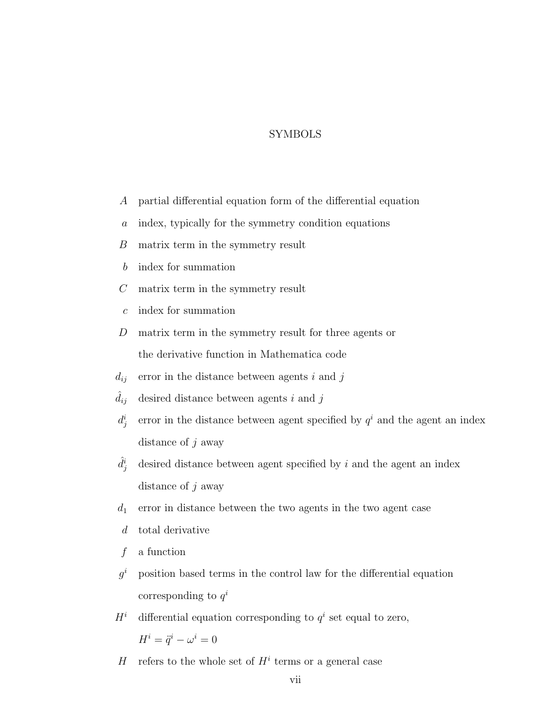## SYMBOLS

- <span id="page-8-0"></span>A partial differential equation form of the differential equation
- a index, typically for the symmetry condition equations
- B matrix term in the symmetry result
- b index for summation
- C matrix term in the symmetry result
- c index for summation
- D matrix term in the symmetry result for three agents or the derivative function in Mathematica code
- $d_{ij}$  error in the distance between agents i and j
- $\widehat{d}_{ij}\;$  desired distance between agents  $i$  and  $j$
- $d_j^i$ error in the distance between agent specified by  $q<sup>i</sup>$  and the agent an index distance of  $j$  away
- $\hat{d}^i_i$ desired distance between agent specified by  $i$  and the agent an index distance of  $j$  away
- $d_1$  error in distance between the two agents in the two agent case
- d total derivative
- $f$  a function
- $q^i$ <sup>i</sup> position based terms in the control law for the differential equation corresponding to  $q^i$
- $H^i$  differential equation corresponding to  $q^i$  set equal to zero,  $H^i = \ddot{q}^i - \omega^i = 0$
- H refers to the whole set of  $H^i$  terms or a general case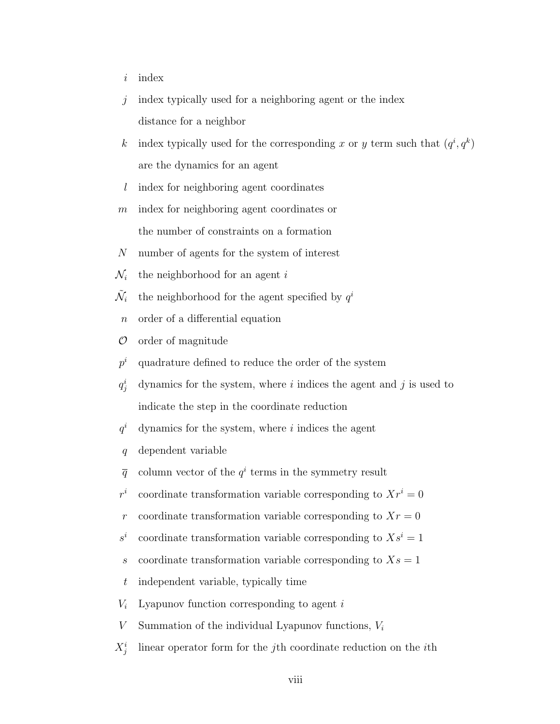- $i$  index
- $j$  index typically used for a neighboring agent or the index distance for a neighbor
- k index typically used for the corresponding x or y term such that  $(q^i, q^k)$ are the dynamics for an agent
- l index for neighboring agent coordinates
- m index for neighboring agent coordinates or the number of constraints on a formation
- N number of agents for the system of interest
- $\mathcal{N}_i$  the neighborhood for an agent i
- $\tilde{\mathcal{N}}_i$ i the neighborhood for the agent specified by  $q^i$ 
	- n order of a differential equation
- $\mathcal O$  order of magnitude
- $p^i$ quadrature defined to reduce the order of the system
- $q_i^i$ dynamics for the system, where  $i$  indices the agent and  $j$  is used to indicate the step in the coordinate reduction
- $q^i$ dynamics for the system, where  $i$  indices the agent
- q dependent variable
- $\bar{q}$  column vector of the  $q^i$  terms in the symmetry result
- $r^i$ coordinate transformation variable corresponding to  $Xr^i = 0$
- r coordinate transformation variable corresponding to  $Xr = 0$
- $s^i$ coordinate transformation variable corresponding to  $Xs^i = 1$
- s coordinate transformation variable corresponding to  $X_s = 1$
- t independent variable, typically time
- $V_i$  Lyapunov function corresponding to agent i
- V Summation of the individual Lyapunov functions,  $V_i$
- $X_j^i$ linear operator form for the jth coordinate reduction on the ith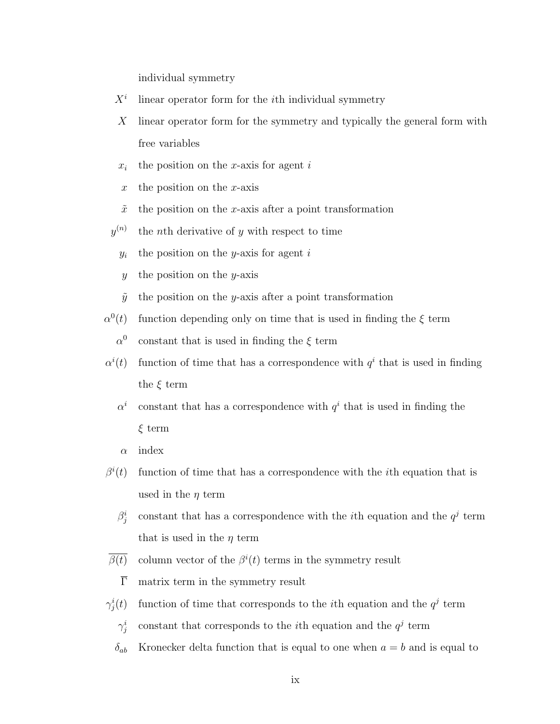individual symmetry

- $X^i$ linear operator form for the ith individual symmetry
- X linear operator form for the symmetry and typically the general form with free variables
- $x_i$  the position on the x-axis for agent i
- x the position on the x-axis
- $\tilde{x}$  the position on the x-axis after a point transformation
- $y^{(n)}$ the *n*th derivative of  $y$  with respect to time
	- $y_i$  the position on the y-axis for agent i
	- $y$  the position on the y-axis
	- $\tilde{y}$  the position on the y-axis after a point transformation
- $\alpha^0$ function depending only on time that is used in finding the  $\xi$  term
	- $\alpha^0$ constant that is used in finding the  $\xi$  term
- $\alpha^i$ (t) function of time that has a correspondence with  $q<sup>i</sup>$  that is used in finding the  $\xi$  term
	- $\alpha^i$ constant that has a correspondence with  $q^i$  that is used in finding the ξ term
	- $\alpha$  index
- $\beta^i$ function of time that has a correspondence with the *i*th equation that is used in the  $\eta$  term
	- $\beta_j^i$ constant that has a correspondence with the *i*th equation and the  $q<sup>j</sup>$  term that is used in the  $\eta$  term
- $\overline{\beta(t)}$  column vector of the  $\beta^{i}(t)$  terms in the symmetry result
	- $\overline{\Gamma}$  matrix term in the symmetry result
- $\gamma^i_j$ (t) function of time that corresponds to the *i*th equation and the  $q<sup>j</sup>$  term
	- $\gamma^i_j$ constant that corresponds to the *i*th equation and the  $q<sup>j</sup>$  term
	- $\delta_{ab}$  Kronecker delta function that is equal to one when  $a = b$  and is equal to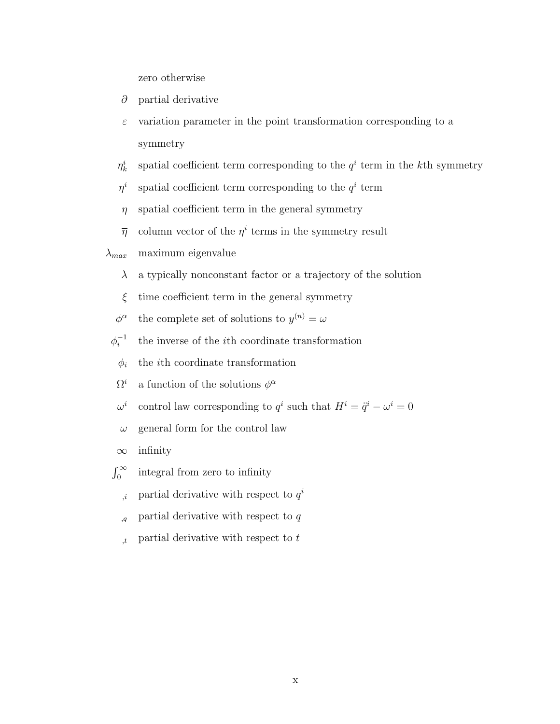zero otherwise

- ∂ partial derivative
- $\varepsilon$  variation parameter in the point transformation corresponding to a symmetry
- $\eta^i_k$ spatial coefficient term corresponding to the  $q^i$  term in the k<sup>th</sup> symmetry
- $\eta^i$ spatial coefficient term corresponding to the  $q^i$  term
- $\eta$  spatial coefficient term in the general symmetry
- $\bar{\eta}$  column vector of the  $\eta^i$  terms in the symmetry result

 $\lambda_{max}$  maximum eigenvalue

- $\lambda$  a typically nonconstant factor or a trajectory of the solution
- $\xi$  time coefficient term in the general symmetry
- $\phi^{\alpha}$ the complete set of solutions to  $y^{(n)} = \omega$
- $\phi_i^{-1}$ i the inverse of the ith coordinate transformation
- $\phi_i$  the *i*th coordinate transformation
- $\Omega^i$ <sup>*i*</sup> a function of the solutions  $\phi^{\alpha}$
- $\omega^i$ control law corresponding to  $q^i$  such that  $H^i = \ddot{q}^i - \omega^i = 0$
- $\omega$  general form for the control law
- $\infty$  infinity
- $\int_0^\infty$ integral from zero to infinity
	- $i$ , partial derivative with respect to  $q^{i}$
	- $q$  partial derivative with respect to q
	- $t$ , partial derivative with respect to t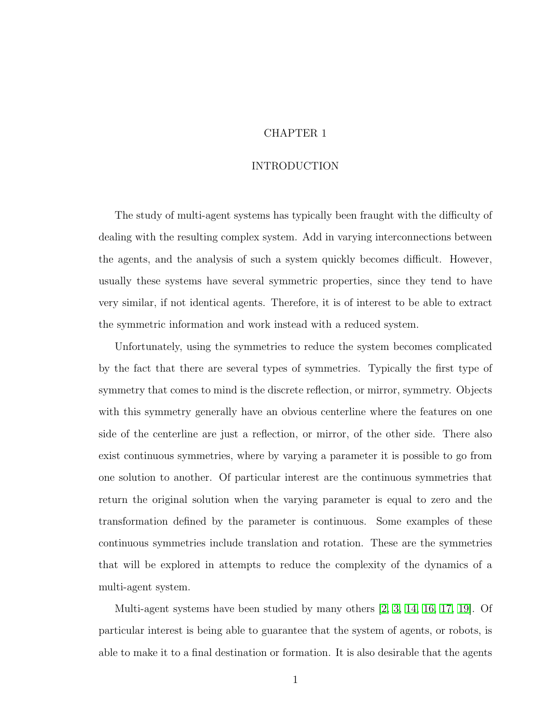## CHAPTER 1

## INTRODUCTION

<span id="page-12-0"></span>The study of multi-agent systems has typically been fraught with the difficulty of dealing with the resulting complex system. Add in varying interconnections between the agents, and the analysis of such a system quickly becomes difficult. However, usually these systems have several symmetric properties, since they tend to have very similar, if not identical agents. Therefore, it is of interest to be able to extract the symmetric information and work instead with a reduced system.

Unfortunately, using the symmetries to reduce the system becomes complicated by the fact that there are several types of symmetries. Typically the first type of symmetry that comes to mind is the discrete reflection, or mirror, symmetry. Objects with this symmetry generally have an obvious centerline where the features on one side of the centerline are just a reflection, or mirror, of the other side. There also exist continuous symmetries, where by varying a parameter it is possible to go from one solution to another. Of particular interest are the continuous symmetries that return the original solution when the varying parameter is equal to zero and the transformation defined by the parameter is continuous. Some examples of these continuous symmetries include translation and rotation. These are the symmetries that will be explored in attempts to reduce the complexity of the dynamics of a multi-agent system.

Multi-agent systems have been studied by many others [\[2,](#page-66-1) [3,](#page-66-2) [14,](#page-67-0) [16,](#page-67-1) [17,](#page-67-2) [19\]](#page-67-3). Of particular interest is being able to guarantee that the system of agents, or robots, is able to make it to a final destination or formation. It is also desirable that the agents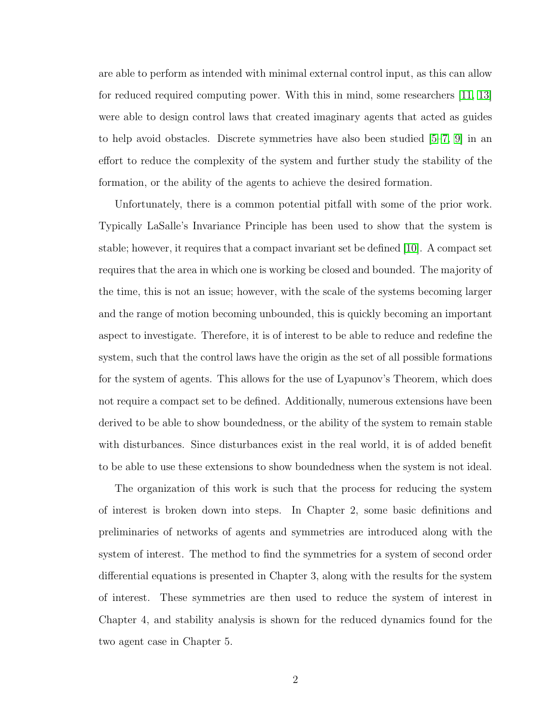are able to perform as intended with minimal external control input, as this can allow for reduced required computing power. With this in mind, some researchers [\[11,](#page-66-3) [13\]](#page-67-4) were able to design control laws that created imaginary agents that acted as guides to help avoid obstacles. Discrete symmetries have also been studied [\[5–](#page-66-4)[7,](#page-66-5) [9\]](#page-66-6) in an effort to reduce the complexity of the system and further study the stability of the formation, or the ability of the agents to achieve the desired formation.

Unfortunately, there is a common potential pitfall with some of the prior work. Typically LaSalle's Invariance Principle has been used to show that the system is stable; however, it requires that a compact invariant set be defined [\[10\]](#page-66-7). A compact set requires that the area in which one is working be closed and bounded. The majority of the time, this is not an issue; however, with the scale of the systems becoming larger and the range of motion becoming unbounded, this is quickly becoming an important aspect to investigate. Therefore, it is of interest to be able to reduce and redefine the system, such that the control laws have the origin as the set of all possible formations for the system of agents. This allows for the use of Lyapunov's Theorem, which does not require a compact set to be defined. Additionally, numerous extensions have been derived to be able to show boundedness, or the ability of the system to remain stable with disturbances. Since disturbances exist in the real world, it is of added benefit to be able to use these extensions to show boundedness when the system is not ideal.

The organization of this work is such that the process for reducing the system of interest is broken down into steps. In Chapter 2, some basic definitions and preliminaries of networks of agents and symmetries are introduced along with the system of interest. The method to find the symmetries for a system of second order differential equations is presented in Chapter 3, along with the results for the system of interest. These symmetries are then used to reduce the system of interest in Chapter 4, and stability analysis is shown for the reduced dynamics found for the two agent case in Chapter 5.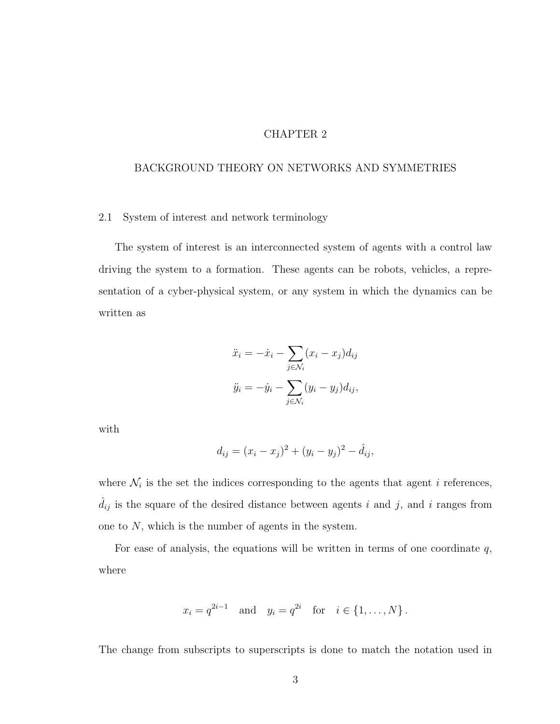## CHAPTER 2

## <span id="page-14-0"></span>BACKGROUND THEORY ON NETWORKS AND SYMMETRIES

#### <span id="page-14-1"></span>2.1 System of interest and network terminology

The system of interest is an interconnected system of agents with a control law driving the system to a formation. These agents can be robots, vehicles, a representation of a cyber-physical system, or any system in which the dynamics can be written as

$$
\ddot{x}_i = -\dot{x}_i - \sum_{j \in \mathcal{N}_i} (x_i - x_j) d_{ij}
$$

$$
\ddot{y}_i = -\dot{y}_i - \sum_{j \in \mathcal{N}_i} (y_i - y_j) d_{ij},
$$

with

$$
d_{ij} = (x_i - x_j)^2 + (y_i - y_j)^2 - \hat{d}_{ij},
$$

where  $\mathcal{N}_i$  is the set the indices corresponding to the agents that agent i references,  $\hat{d}_{ij}$  is the square of the desired distance between agents i and j, and i ranges from one to  $N$ , which is the number of agents in the system.

For ease of analysis, the equations will be written in terms of one coordinate  $q$ , where

$$
x_i = q^{2i-1}
$$
 and  $y_i = q^{2i}$  for  $i \in \{1, ..., N\}$ .

The change from subscripts to superscripts is done to match the notation used in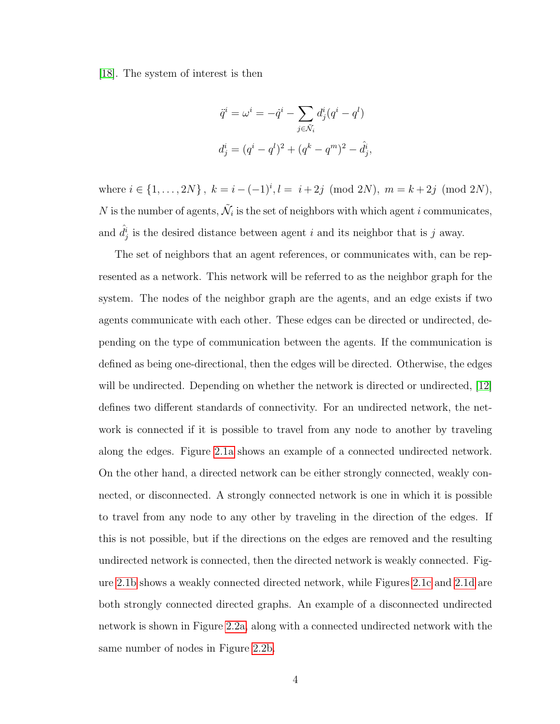[\[18\]](#page-67-5). The system of interest is then

$$
\ddot{q}^i = \omega^i = -\dot{q}^i - \sum_{j \in \tilde{\mathcal{N}}_i} d^i_j (q^i - q^l)
$$
  

$$
d^i_j = (q^i - q^l)^2 + (q^k - q^m)^2 - \hat{d}^i_j,
$$

where  $i \in \{1, ..., 2N\}$ ,  $k = i - (-1)^i$ ,  $l = i + 2j \pmod{2N}$ ,  $m = k + 2j \pmod{2N}$ , N is the number of agents,  $\tilde{\mathcal{N}}_i$  is the set of neighbors with which agent i communicates, and  $\hat{d}^i_j$  is the desired distance between agent i and its neighbor that is j away.

The set of neighbors that an agent references, or communicates with, can be represented as a network. This network will be referred to as the neighbor graph for the system. The nodes of the neighbor graph are the agents, and an edge exists if two agents communicate with each other. These edges can be directed or undirected, depending on the type of communication between the agents. If the communication is defined as being one-directional, then the edges will be directed. Otherwise, the edges will be undirected. Depending on whether the network is directed or undirected, [\[12\]](#page-66-8) defines two different standards of connectivity. For an undirected network, the network is connected if it is possible to travel from any node to another by traveling along the edges. Figure [2.1a](#page-16-0) shows an example of a connected undirected network. On the other hand, a directed network can be either strongly connected, weakly connected, or disconnected. A strongly connected network is one in which it is possible to travel from any node to any other by traveling in the direction of the edges. If this is not possible, but if the directions on the edges are removed and the resulting undirected network is connected, then the directed network is weakly connected. Figure [2.1b](#page-16-0) shows a weakly connected directed network, while Figures [2.1c](#page-16-0) and [2.1d](#page-16-0) are both strongly connected directed graphs. An example of a disconnected undirected network is shown in Figure [2.2a,](#page-16-1) along with a connected undirected network with the same number of nodes in Figure [2.2b.](#page-16-1)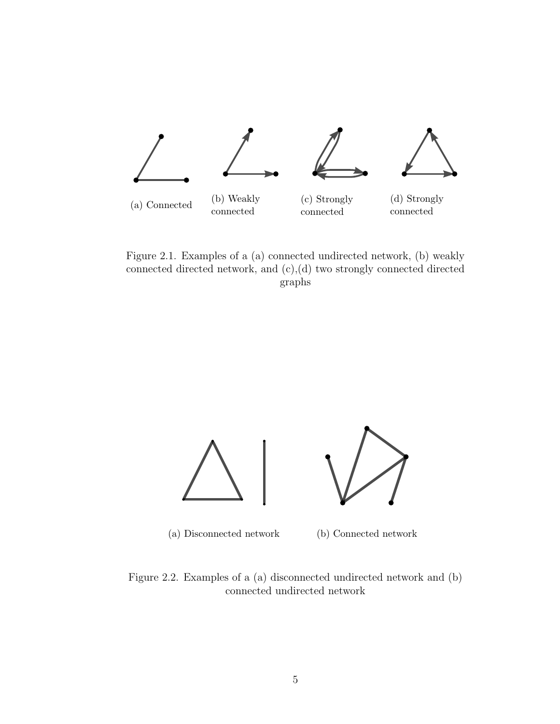<span id="page-16-0"></span>

Figure 2.1. Examples of a (a) connected undirected network, (b) weakly connected directed network, and (c),(d) two strongly connected directed graphs

<span id="page-16-1"></span>

Figure 2.2. Examples of a (a) disconnected undirected network and (b) connected undirected network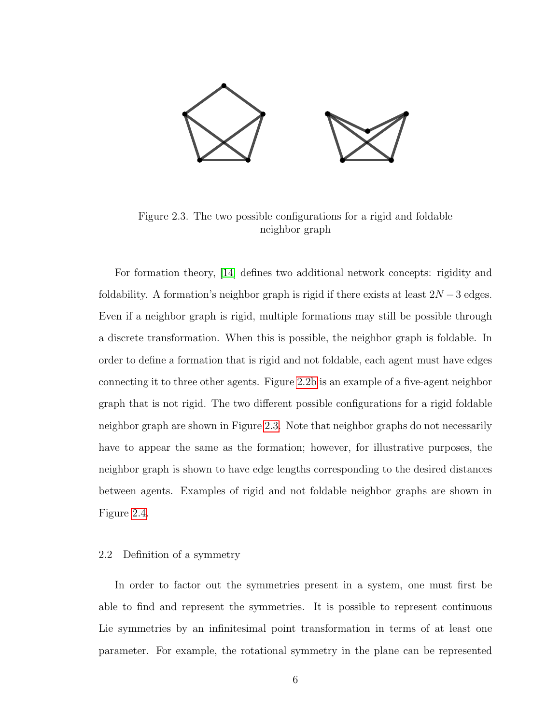<span id="page-17-1"></span>

Figure 2.3. The two possible configurations for a rigid and foldable neighbor graph

For formation theory, [\[14\]](#page-67-0) defines two additional network concepts: rigidity and foldability. A formation's neighbor graph is rigid if there exists at least  $2N-3$  edges. Even if a neighbor graph is rigid, multiple formations may still be possible through a discrete transformation. When this is possible, the neighbor graph is foldable. In order to define a formation that is rigid and not foldable, each agent must have edges connecting it to three other agents. Figure [2.2b](#page-16-1) is an example of a five-agent neighbor graph that is not rigid. The two different possible configurations for a rigid foldable neighbor graph are shown in Figure [2.3.](#page-17-1) Note that neighbor graphs do not necessarily have to appear the same as the formation; however, for illustrative purposes, the neighbor graph is shown to have edge lengths corresponding to the desired distances between agents. Examples of rigid and not foldable neighbor graphs are shown in Figure [2.4.](#page-18-0)

### <span id="page-17-0"></span>2.2 Definition of a symmetry

In order to factor out the symmetries present in a system, one must first be able to find and represent the symmetries. It is possible to represent continuous Lie symmetries by an infinitesimal point transformation in terms of at least one parameter. For example, the rotational symmetry in the plane can be represented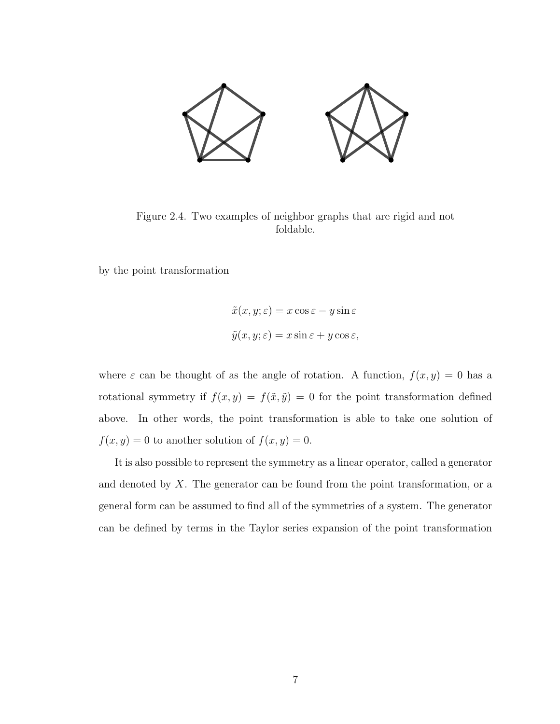<span id="page-18-0"></span>

Figure 2.4. Two examples of neighbor graphs that are rigid and not foldable.

by the point transformation

$$
\tilde{x}(x, y; \varepsilon) = x \cos \varepsilon - y \sin \varepsilon
$$
  

$$
\tilde{y}(x, y; \varepsilon) = x \sin \varepsilon + y \cos \varepsilon,
$$

where  $\varepsilon$  can be thought of as the angle of rotation. A function,  $f(x, y) = 0$  has a rotational symmetry if  $f(x, y) = f(\tilde{x}, \tilde{y}) = 0$  for the point transformation defined above. In other words, the point transformation is able to take one solution of  $f(x, y) = 0$  to another solution of  $f(x, y) = 0$ .

It is also possible to represent the symmetry as a linear operator, called a generator and denoted by  $X$ . The generator can be found from the point transformation, or a general form can be assumed to find all of the symmetries of a system. The generator can be defined by terms in the Taylor series expansion of the point transformation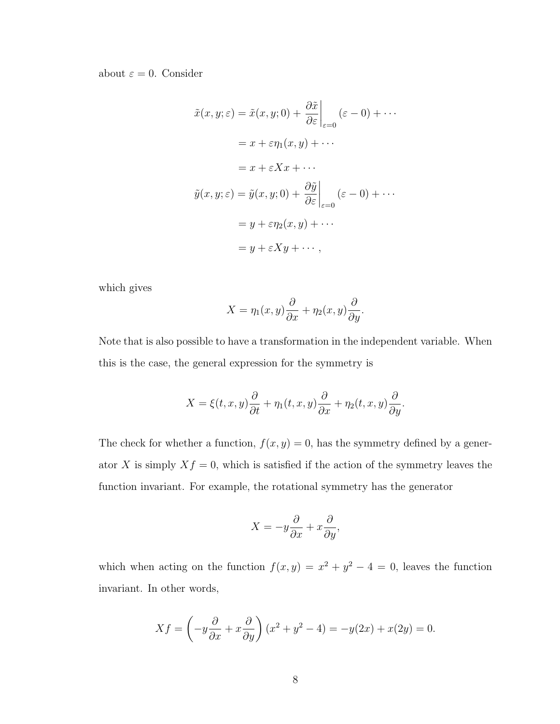#### about  $\varepsilon = 0$ . Consider

$$
\tilde{x}(x, y; \varepsilon) = \tilde{x}(x, y; 0) + \left. \frac{\partial \tilde{x}}{\partial \varepsilon} \right|_{\varepsilon=0} (\varepsilon - 0) + \cdots
$$

$$
= x + \varepsilon \eta_1(x, y) + \cdots
$$

$$
= x + \varepsilon X x + \cdots
$$

$$
\tilde{y}(x, y; \varepsilon) = \tilde{y}(x, y; 0) + \left. \frac{\partial \tilde{y}}{\partial \varepsilon} \right|_{\varepsilon=0} (\varepsilon - 0) + \cdots
$$

$$
= y + \varepsilon \eta_2(x, y) + \cdots
$$

$$
= y + \varepsilon X y + \cdots,
$$

which gives

$$
X = \eta_1(x, y)\frac{\partial}{\partial x} + \eta_2(x, y)\frac{\partial}{\partial y}.
$$

Note that is also possible to have a transformation in the independent variable. When this is the case, the general expression for the symmetry is

$$
X = \xi(t, x, y)\frac{\partial}{\partial t} + \eta_1(t, x, y)\frac{\partial}{\partial x} + \eta_2(t, x, y)\frac{\partial}{\partial y}.
$$

The check for whether a function,  $f(x, y) = 0$ , has the symmetry defined by a generator X is simply  $Xf = 0$ , which is satisfied if the action of the symmetry leaves the function invariant. For example, the rotational symmetry has the generator

$$
X = -y\frac{\partial}{\partial x} + x\frac{\partial}{\partial y},
$$

which when acting on the function  $f(x, y) = x^2 + y^2 - 4 = 0$ , leaves the function invariant. In other words,

$$
Xf = \left(-y\frac{\partial}{\partial x} + x\frac{\partial}{\partial y}\right)(x^2 + y^2 - 4) = -y(2x) + x(2y) = 0.
$$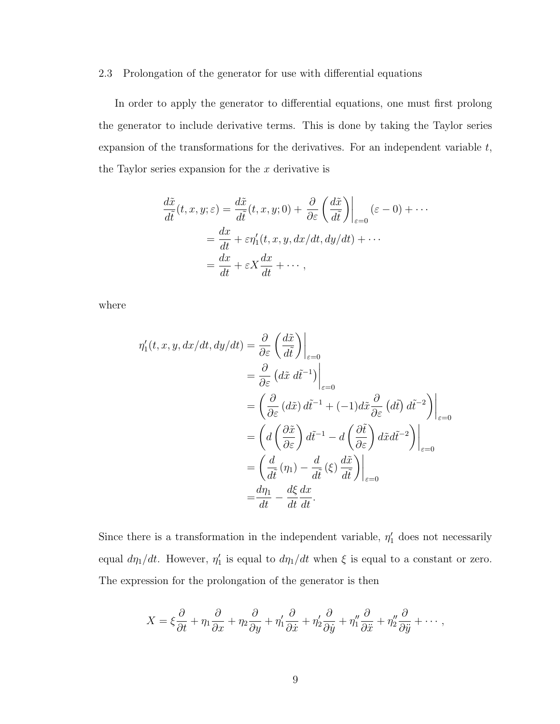#### <span id="page-20-0"></span>2.3 Prolongation of the generator for use with differential equations

In order to apply the generator to differential equations, one must first prolong the generator to include derivative terms. This is done by taking the Taylor series expansion of the transformations for the derivatives. For an independent variable t, the Taylor series expansion for the  $x$  derivative is

$$
\frac{d\tilde{x}}{d\tilde{t}}(t, x, y; \varepsilon) = \frac{d\tilde{x}}{d\tilde{t}}(t, x, y; 0) + \frac{\partial}{\partial \varepsilon} \left(\frac{d\tilde{x}}{d\tilde{t}}\right)\Big|_{\varepsilon=0} (\varepsilon - 0) + \cdots
$$

$$
= \frac{dx}{dt} + \varepsilon \eta_1'(t, x, y, dx/dt, dy/dt) + \cdots
$$

$$
= \frac{dx}{dt} + \varepsilon X \frac{dx}{dt} + \cdots,
$$

where

$$
\eta_1'(t, x, y, dx/dt, dy/dt) = \frac{\partial}{\partial \varepsilon} \left( \frac{d\tilde{x}}{d\tilde{t}} \right) \Big|_{\varepsilon=0}
$$
  
\n
$$
= \frac{\partial}{\partial \varepsilon} (d\tilde{x} d\tilde{t}^{-1}) \Big|_{\varepsilon=0}
$$
  
\n
$$
= \left( \frac{\partial}{\partial \varepsilon} (d\tilde{x}) d\tilde{t}^{-1} + (-1) d\tilde{x} \frac{\partial}{\partial \varepsilon} (d\tilde{t}) d\tilde{t}^{-2} \right) \Big|_{\varepsilon=0}
$$
  
\n
$$
= \left( d \left( \frac{\partial \tilde{x}}{\partial \varepsilon} \right) d\tilde{t}^{-1} - d \left( \frac{\partial \tilde{t}}{\partial \varepsilon} \right) d\tilde{x} d\tilde{t}^{-2} \right) \Big|_{\varepsilon=0}
$$
  
\n
$$
= \left( \frac{d}{d\tilde{t}} (\eta_1) - \frac{d}{d\tilde{t}} (\xi) \frac{d\tilde{x}}{d\tilde{t}} \right) \Big|_{\varepsilon=0}
$$
  
\n
$$
= \frac{d\eta_1}{dt} - \frac{d\xi}{dt} \frac{dx}{dt}.
$$

Since there is a transformation in the independent variable,  $\eta'_1$  does not necessarily equal  $d\eta_1/dt$ . However,  $\eta'_1$  is equal to  $d\eta_1/dt$  when  $\xi$  is equal to a constant or zero. The expression for the prolongation of the generator is then

$$
X = \xi \frac{\partial}{\partial t} + \eta_1 \frac{\partial}{\partial x} + \eta_2 \frac{\partial}{\partial y} + \eta_1' \frac{\partial}{\partial \dot{x}} + \eta_2' \frac{\partial}{\partial \dot{y}} + \eta_1'' \frac{\partial}{\partial \ddot{x}} + \eta_2'' \frac{\partial}{\partial \ddot{y}} + \cdots,
$$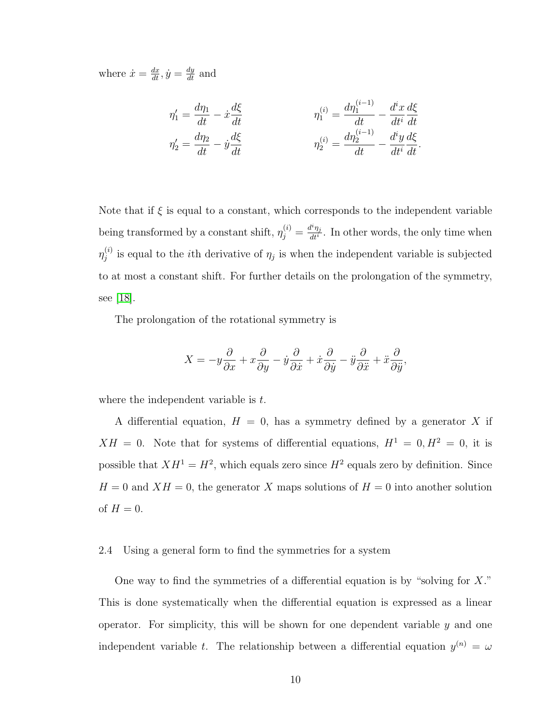where  $\dot{x} = \frac{dx}{dt}, \dot{y} = \frac{dy}{dt}$  and

$$
\eta_1' = \frac{d\eta_1}{dt} - \dot{x}\frac{d\xi}{dt} \qquad \eta_1^{(i)} = \frac{d\eta_1^{(i-1)}}{dt} - \frac{d^i x}{dt^i}\frac{d\xi}{dt}
$$

$$
\eta_2' = \frac{d\eta_2}{dt} - \dot{y}\frac{d\xi}{dt} \qquad \eta_2^{(i)} = \frac{d\eta_2^{(i-1)}}{dt} - \frac{d^i y}{dt^i}\frac{d\xi}{dt}.
$$

Note that if  $\xi$  is equal to a constant, which corresponds to the independent variable being transformed by a constant shift,  $\eta_j^{(i)} = \frac{d^i \eta_j}{dt^i}$  $\frac{d^n \eta_j}{dt^n}$ . In other words, the only time when  $\eta^{(i)}_i$  $j^{(i)}$  is equal to the *i*th derivative of  $\eta_j$  is when the independent variable is subjected to at most a constant shift. For further details on the prolongation of the symmetry, see [\[18\]](#page-67-5).

The prolongation of the rotational symmetry is

$$
X = -y\frac{\partial}{\partial x} + x\frac{\partial}{\partial y} - \dot{y}\frac{\partial}{\partial \dot{x}} + \dot{x}\frac{\partial}{\partial \dot{y}} - \ddot{y}\frac{\partial}{\partial \ddot{x}} + \ddot{x}\frac{\partial}{\partial \ddot{y}},
$$

where the independent variable is  $t$ .

A differential equation,  $H = 0$ , has a symmetry defined by a generator X if  $XH = 0$ . Note that for systems of differential equations,  $H^1 = 0, H^2 = 0$ , it is possible that  $XH^1 = H^2$ , which equals zero since  $H^2$  equals zero by definition. Since  $H = 0$  and  $XH = 0$ , the generator X maps solutions of  $H = 0$  into another solution of  $H = 0$ .

#### <span id="page-21-0"></span>2.4 Using a general form to find the symmetries for a system

One way to find the symmetries of a differential equation is by "solving for  $X$ ." This is done systematically when the differential equation is expressed as a linear operator. For simplicity, this will be shown for one dependent variable  $y$  and one independent variable t. The relationship between a differential equation  $y^{(n)} = \omega$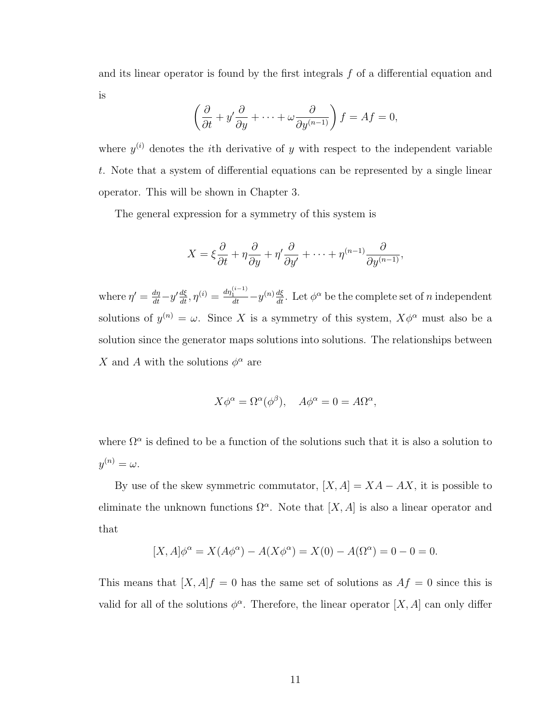and its linear operator is found by the first integrals f of a differential equation and is

$$
\left(\frac{\partial}{\partial t} + y'\frac{\partial}{\partial y} + \dots + \omega \frac{\partial}{\partial y^{(n-1)}}\right) f = Af = 0,
$$

where  $y^{(i)}$  denotes the *i*th derivative of y with respect to the independent variable t. Note that a system of differential equations can be represented by a single linear operator. This will be shown in Chapter 3.

The general expression for a symmetry of this system is

$$
X = \xi \frac{\partial}{\partial t} + \eta \frac{\partial}{\partial y} + \eta' \frac{\partial}{\partial y'} + \dots + \eta^{(n-1)} \frac{\partial}{\partial y^{(n-1)}},
$$

where  $\eta' = \frac{d\eta}{dt} - y'\frac{d\xi}{dt}, \eta^{(i)} = \frac{d\eta_1^{(i-1)}}{dt} - y^{(n)}\frac{d\xi}{dt}$ . Let  $\phi^{\alpha}$  be the complete set of *n* independent solutions of  $y^{(n)} = \omega$ . Since X is a symmetry of this system,  $X\phi^{\alpha}$  must also be a solution since the generator maps solutions into solutions. The relationships between X and A with the solutions  $\phi^{\alpha}$  are

$$
X\phi^{\alpha} = \Omega^{\alpha}(\phi^{\beta}), \quad A\phi^{\alpha} = 0 = A\Omega^{\alpha},
$$

where  $\Omega^{\alpha}$  is defined to be a function of the solutions such that it is also a solution to  $y^{(n)}=\omega.$ 

By use of the skew symmetric commutator,  $[X, A] = XA - AX$ , it is possible to eliminate the unknown functions  $\Omega^{\alpha}$ . Note that  $[X, A]$  is also a linear operator and that

$$
[X, A]\phi^{\alpha} = X(A\phi^{\alpha}) - A(X\phi^{\alpha}) = X(0) - A(\Omega^{\alpha}) = 0 - 0 = 0.
$$

This means that  $[X, A]f = 0$  has the same set of solutions as  $Af = 0$  since this is valid for all of the solutions  $\phi^{\alpha}$ . Therefore, the linear operator [X, A] can only differ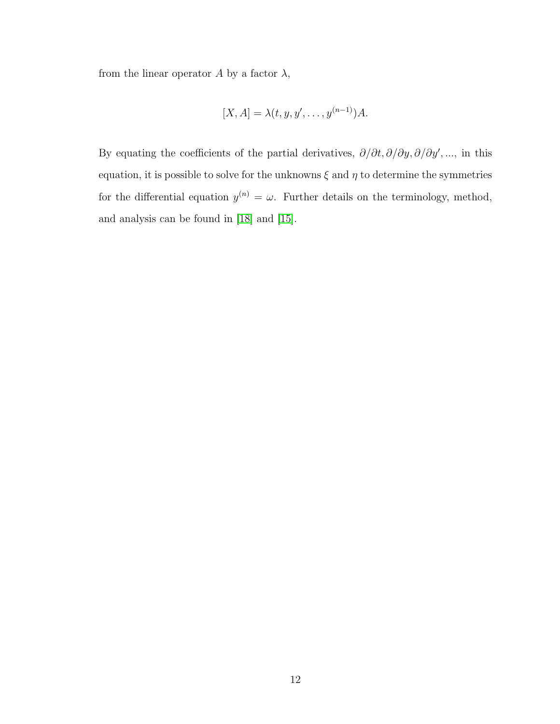from the linear operator  $A$  by a factor  $\lambda$ ,

$$
[X, A] = \lambda(t, y, y', \dots, y^{(n-1)})A.
$$

By equating the coefficients of the partial derivatives,  $\partial/\partial t$ ,  $\partial/\partial y$ ,  $\partial/\partial y'$ , ..., in this equation, it is possible to solve for the unknowns  $\xi$  and  $\eta$  to determine the symmetries for the differential equation  $y^{(n)} = \omega$ . Further details on the terminology, method, and analysis can be found in [\[18\]](#page-67-5) and [\[15\]](#page-67-6).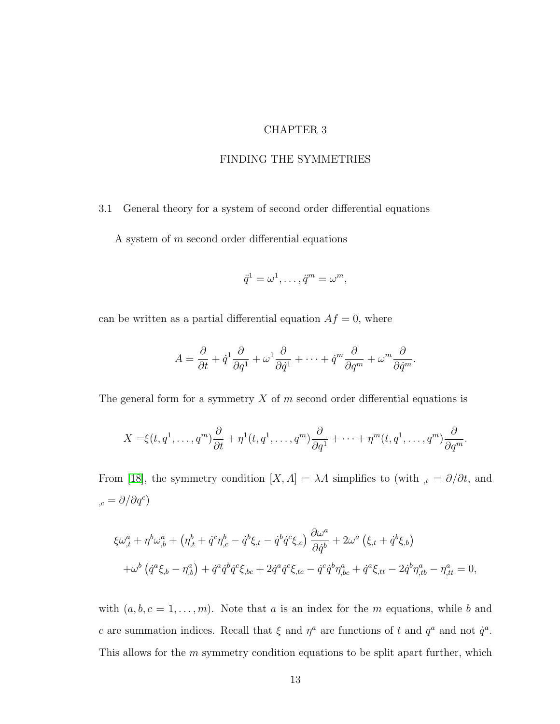## CHAPTER 3

## FINDING THE SYMMETRIES

<span id="page-24-1"></span><span id="page-24-0"></span>3.1 General theory for a system of second order differential equations

A system of m second order differential equations

$$
\ddot{q}^1 = \omega^1, \ldots, \ddot{q}^m = \omega^m,
$$

can be written as a partial differential equation  $Af = 0$ , where

$$
A = \frac{\partial}{\partial t} + \dot{q}^1 \frac{\partial}{\partial q^1} + \omega^1 \frac{\partial}{\partial \dot{q}^1} + \cdots + \dot{q}^m \frac{\partial}{\partial q^m} + \omega^m \frac{\partial}{\partial \dot{q}^m}.
$$

The general form for a symmetry  $X$  of  $m$  second order differential equations is

$$
X = \xi(t, q^1, \dots, q^m) \frac{\partial}{\partial t} + \eta^1(t, q^1, \dots, q^m) \frac{\partial}{\partial q^1} + \dots + \eta^m(t, q^1, \dots, q^m) \frac{\partial}{\partial q^m}.
$$

From [\[18\]](#page-67-5), the symmetry condition  $[X, A] = \lambda A$  simplifies to (with  $\lambda_t = \partial/\partial t$ , and  $_{c} = \partial/\partial q^{c}$ 

$$
\xi \omega_{,t}^{a} + \eta^{b} \omega_{,b}^{a} + (\eta_{,t}^{b} + \dot{q}^{c} \eta_{,c}^{b} - \dot{q}^{b} \xi_{,t} - \dot{q}^{b} \dot{q}^{c} \xi_{,c}) \frac{\partial \omega^{a}}{\partial \dot{q}^{b}} + 2 \omega^{a} (\xi_{,t} + \dot{q}^{b} \xi_{,b}) + \omega^{b} (\dot{q}^{a} \xi_{,b} - \eta_{,b}^{a}) + \dot{q}^{a} \dot{q}^{b} \dot{q}^{c} \xi_{,bc} + 2 \dot{q}^{a} \dot{q}^{c} \xi_{,tc} - \dot{q}^{c} \dot{q}^{b} \eta_{,bc}^{a} + \dot{q}^{a} \xi_{,tt} - 2 \dot{q}^{b} \eta_{,tb}^{a} - \eta_{,tt}^{a} = 0,
$$

with  $(a, b, c = 1, \ldots, m)$ . Note that a is an index for the m equations, while b and c are summation indices. Recall that  $\xi$  and  $\eta^a$  are functions of t and  $q^a$  and not  $\dot{q}^a$ . This allows for the m symmetry condition equations to be split apart further, which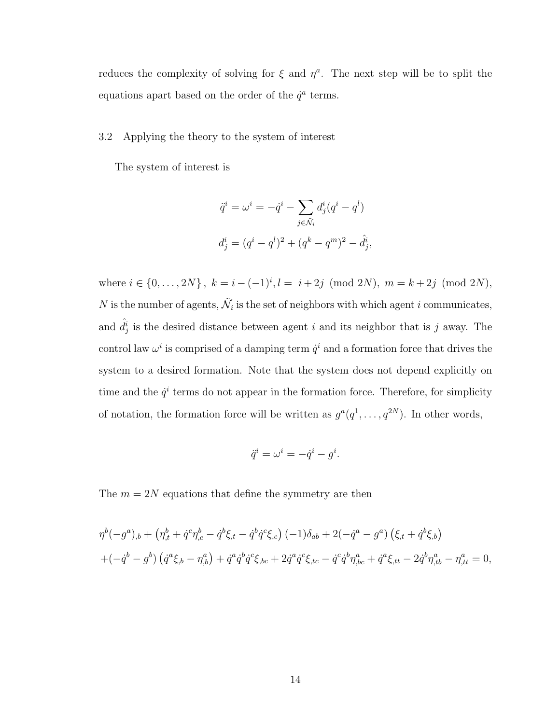reduces the complexity of solving for  $\xi$  and  $\eta^a$ . The next step will be to split the equations apart based on the order of the  $\dot{q}^a$  terms.

#### <span id="page-25-0"></span>3.2 Applying the theory to the system of interest

The system of interest is

$$
\ddot{q}^i = \omega^i = -\dot{q}^i - \sum_{j \in \tilde{\mathcal{N}}_i} d^i_j (q^i - q^l)
$$
  

$$
d^i_j = (q^i - q^l)^2 + (q^k - q^m)^2 - \hat{d}^i_j,
$$

where  $i \in \{0, \ldots, 2N\}$ ,  $k = i - (-1)^i$ ,  $l = i + 2j \pmod{2N}$ ,  $m = k + 2j \pmod{2N}$ , N is the number of agents,  $\tilde{\mathcal{N}}_i$  is the set of neighbors with which agent i communicates, and  $\hat{d}_j^i$  is the desired distance between agent i and its neighbor that is j away. The control law  $\omega^i$  is comprised of a damping term  $\dot{q}^i$  and a formation force that drives the system to a desired formation. Note that the system does not depend explicitly on time and the  $\dot{q}^i$  terms do not appear in the formation force. Therefore, for simplicity of notation, the formation force will be written as  $g^a(q^1,\ldots,q^{2N})$ . In other words,

$$
\ddot{q}^i = \omega^i = -\dot{q}^i - g^i.
$$

The  $m = 2N$  equations that define the symmetry are then

$$
\eta^{b}(-g^{a})_{,b} + (\eta^{b}_{,t} + \dot{q}^{c}\eta^{b}_{,c} - \dot{q}^{b}\xi_{,t} - \dot{q}^{b}\dot{q}^{c}\xi_{,c}) (-1)\delta_{ab} + 2(-\dot{q}^{a} - g^{a}) (\xi_{,t} + \dot{q}^{b}\xi_{,b}) + (-\dot{q}^{b} - g^{b}) (\dot{q}^{a}\xi_{,b} - \eta^{a}_{,b}) + \dot{q}^{a}\dot{q}^{b}\dot{q}^{c}\xi_{,bc} + 2\dot{q}^{a}\dot{q}^{c}\xi_{,tc} - \dot{q}^{c}\dot{q}^{b}\eta^{a}_{,bc} + \dot{q}^{a}\xi_{,tt} - 2\dot{q}^{b}\eta^{a}_{,tb} - \eta^{a}_{,tt} = 0,
$$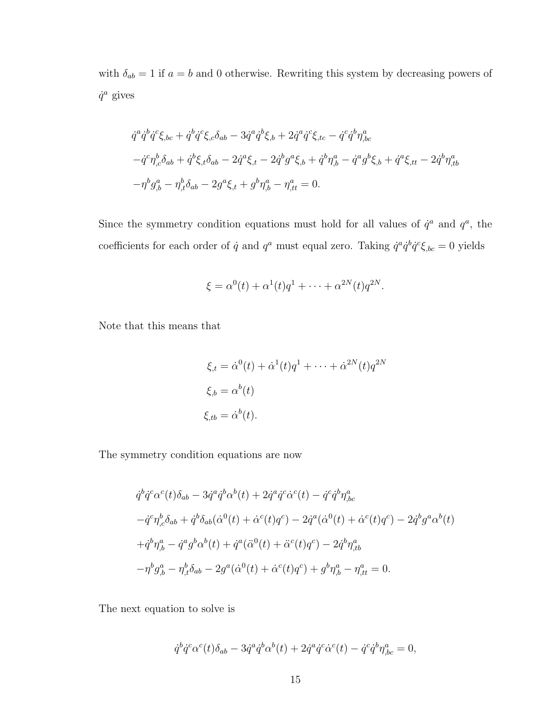with  $\delta_{ab} = 1$  if  $a = b$  and 0 otherwise. Rewriting this system by decreasing powers of  $\dot{q}^a$  gives

$$
\dot{q}^{a}\dot{q}^{b}\dot{q}^{c}\xi_{,bc} + \dot{q}^{b}\dot{q}^{c}\xi_{,c}\delta_{ab} - 3\dot{q}^{a}\dot{q}^{b}\xi_{,b} + 2\dot{q}^{a}\dot{q}^{c}\xi_{,tc} - \dot{q}^{c}\dot{q}^{b}\eta_{,bc}^{a}
$$

$$
-\dot{q}^{c}\eta_{,c}^{b}\delta_{ab} + \dot{q}^{b}\xi_{,t}\delta_{ab} - 2\dot{q}^{a}\xi_{,t} - 2\dot{q}^{b}g^{a}\xi_{,b} + \dot{q}^{b}\eta_{,b}^{a} - \dot{q}^{a}g^{b}\xi_{,b} + \dot{q}^{a}\xi_{,tt} - 2\dot{q}^{b}\eta_{,tb}^{a}
$$

$$
-\eta^{b}g_{,b}^{a} - \eta_{,t}^{b}\delta_{ab} - 2g^{a}\xi_{,t} + g^{b}\eta_{,b}^{a} - \eta_{,tt}^{a} = 0.
$$

Since the symmetry condition equations must hold for all values of  $\dot{q}^a$  and  $q^a$ , the coefficients for each order of  $\dot{q}$  and  $q^a$  must equal zero. Taking  $\dot{q}^a \dot{q}^b \dot{q}^c \xi_{bc} = 0$  yields

$$
\xi = \alpha^0(t) + \alpha^1(t)q^1 + \dots + \alpha^{2N}(t)q^{2N}.
$$

Note that this means that

$$
\xi_{,t} = \dot{\alpha}^{0}(t) + \dot{\alpha}^{1}(t)q^{1} + \dots + \dot{\alpha}^{2N}(t)q^{2N}
$$

$$
\xi_{,b} = \alpha^{b}(t)
$$

$$
\xi_{,tb} = \dot{\alpha}^{b}(t).
$$

The symmetry condition equations are now

$$
\dot{q}^{b}\dot{q}^{c}\alpha^{c}(t)\delta_{ab} - 3\dot{q}^{a}\dot{q}^{b}\alpha^{b}(t) + 2\dot{q}^{a}\dot{q}^{c}\dot{\alpha}^{c}(t) - \dot{q}^{c}\dot{q}^{b}\eta^{a}_{,bc}
$$
\n
$$
-\dot{q}^{c}\eta^{b}_{,c}\delta_{ab} + \dot{q}^{b}\delta_{ab}(\dot{\alpha}^{0}(t) + \dot{\alpha}^{c}(t)q^{c}) - 2\dot{q}^{a}(\dot{\alpha}^{0}(t) + \dot{\alpha}^{c}(t)q^{c}) - 2\dot{q}^{b}g^{a}\alpha^{b}(t)
$$
\n
$$
+\dot{q}^{b}\eta^{a}_{,b} - \dot{q}^{a}g^{b}\alpha^{b}(t) + \dot{q}^{a}(\ddot{\alpha}^{0}(t) + \ddot{\alpha}^{c}(t)q^{c}) - 2\dot{q}^{b}\eta^{a}_{,tb}
$$
\n
$$
-\eta^{b}g^{a}_{,b} - \eta^{b}_{,t}\delta_{ab} - 2g^{a}(\dot{\alpha}^{0}(t) + \dot{\alpha}^{c}(t)q^{c}) + g^{b}\eta^{a}_{,b} - \eta^{a}_{,tt} = 0.
$$

The next equation to solve is

$$
\dot{q}^b \dot{q}^c \alpha^c(t) \delta_{ab} - 3 \dot{q}^a \dot{q}^b \alpha^b(t) + 2 \dot{q}^a \dot{q}^c \dot{\alpha}^c(t) - \dot{q}^c \dot{q}^b \eta^a_{,bc} = 0,
$$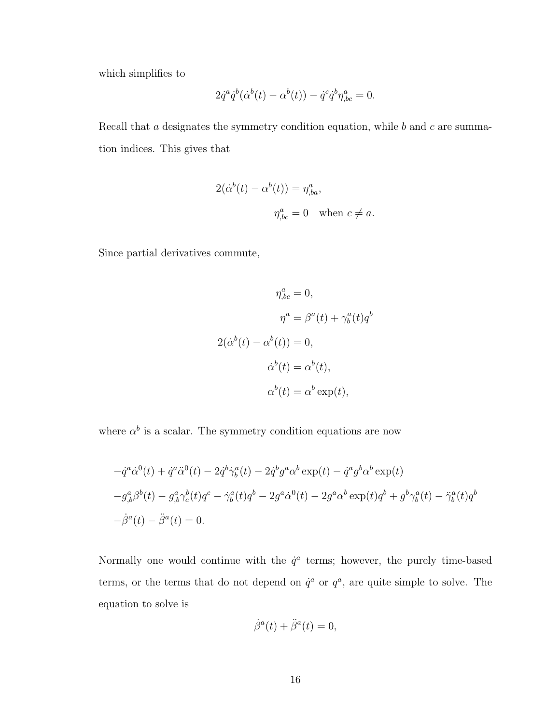which simplifies to

$$
2\dot{q}^a\dot{q}^b(\dot{\alpha}^b(t) - \alpha^b(t)) - \dot{q}^c\dot{q}^b\eta^a_{,bc} = 0.
$$

Recall that  $a$  designates the symmetry condition equation, while  $b$  and  $c$  are summation indices. This gives that

$$
2(\dot{\alpha}^b(t) - \alpha^b(t)) = \eta^a_{,ba},
$$
  

$$
\eta^a_{,bc} = 0 \quad \text{when } c \neq a.
$$

Since partial derivatives commute,

$$
\eta_{,bc}^{a} = 0,
$$
  
\n
$$
\eta^{a} = \beta^{a}(t) + \gamma_{b}^{a}(t)q^{b}
$$
  
\n
$$
2(\dot{\alpha}^{b}(t) - \alpha^{b}(t)) = 0,
$$
  
\n
$$
\dot{\alpha}^{b}(t) = \alpha^{b}(t),
$$
  
\n
$$
\alpha^{b}(t) = \alpha^{b} \exp(t),
$$

where  $\alpha^b$  is a scalar. The symmetry condition equations are now

$$
- \dot{q}^a \dot{\alpha}^0(t) + \dot{q}^a \ddot{\alpha}^0(t) - 2\dot{q}^b \dot{\gamma}_b^a(t) - 2\dot{q}^b g^a \alpha^b \exp(t) - \dot{q}^a g^b \alpha^b \exp(t)
$$
  

$$
-g^a_{,b} \beta^b(t) - g^a_{,b} \gamma^b_c(t) q^c - \dot{\gamma}_b^a(t) q^b - 2g^a \dot{\alpha}^0(t) - 2g^a \alpha^b \exp(t) q^b + g^b \gamma_b^a(t) - \ddot{\gamma}_b^a(t) q^b
$$
  

$$
-\dot{\beta}^a(t) - \ddot{\beta}^a(t) = 0.
$$

Normally one would continue with the  $\dot{q}^a$  terms; however, the purely time-based terms, or the terms that do not depend on  $\dot{q}^a$  or  $q^a$ , are quite simple to solve. The equation to solve is

$$
\dot{\beta}^a(t) + \ddot{\beta}^a(t) = 0,
$$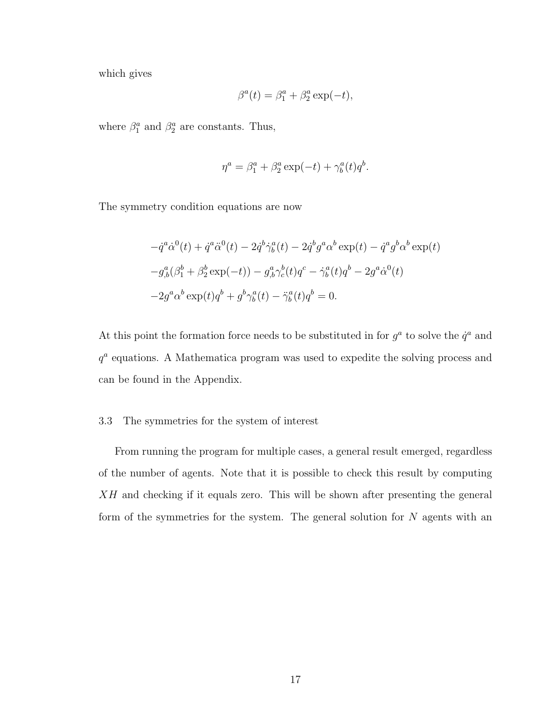which gives

$$
\beta^a(t) = \beta_1^a + \beta_2^a \exp(-t),
$$

where  $\beta_1^a$  and  $\beta_2^a$  are constants. Thus,

$$
\eta^a = \beta_1^a + \beta_2^a \exp(-t) + \gamma_b^a(t)q^b.
$$

The symmetry condition equations are now

$$
- \dot{q}^a \dot{\alpha}^0(t) + \dot{q}^a \ddot{\alpha}^0(t) - 2\dot{q}^b \dot{\gamma}_b^a(t) - 2\dot{q}^b g^a \alpha^b \exp(t) - \dot{q}^a g^b \alpha^b \exp(t) - g^a_{,b} (\beta_1^b + \beta_2^b \exp(-t)) - g^a_{,b} \gamma_c^b(t) q^c - \dot{\gamma}_b^a(t) q^b - 2g^a \dot{\alpha}^0(t) - 2g^a \alpha^b \exp(t) q^b + g^b \gamma_b^a(t) - \ddot{\gamma}_b^a(t) q^b = 0.
$$

At this point the formation force needs to be substituted in for  $g^a$  to solve the  $\dot{q}^a$  and q a equations. A Mathematica program was used to expedite the solving process and can be found in the Appendix.

#### <span id="page-28-0"></span>3.3 The symmetries for the system of interest

From running the program for multiple cases, a general result emerged, regardless of the number of agents. Note that it is possible to check this result by computing XH and checking if it equals zero. This will be shown after presenting the general form of the symmetries for the system. The general solution for N agents with an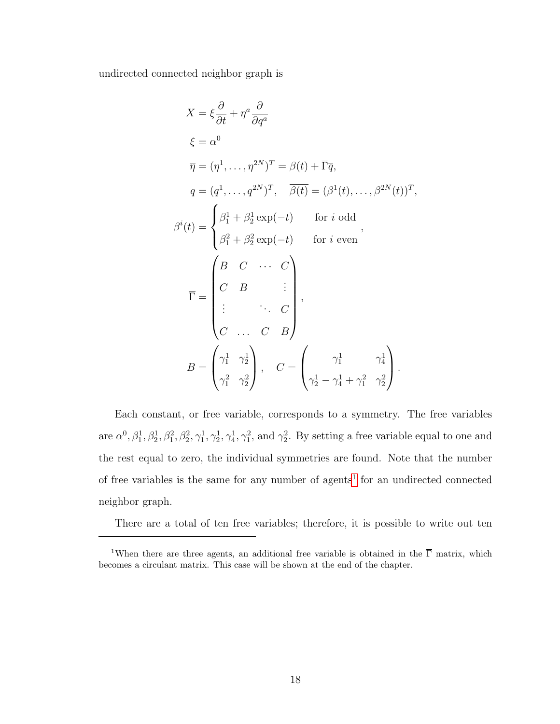undirected connected neighbor graph is

$$
X = \xi \frac{\partial}{\partial t} + \eta^a \frac{\partial}{\partial q^a}
$$
  
\n
$$
\xi = \alpha^0
$$
  
\n
$$
\overline{\eta} = (\eta^1, \dots, \eta^{2N})^T = \overline{\beta(t)} + \overline{\Gamma}\overline{q},
$$
  
\n
$$
\overline{q} = (q^1, \dots, q^{2N})^T, \quad \overline{\beta(t)} = (\beta^1(t), \dots, \beta^{2N}(t))^T,
$$
  
\n
$$
\beta^i(t) = \begin{cases} \beta_1^1 + \beta_2^1 \exp(-t) & \text{for } i \text{ odd} \\ \beta_1^2 + \beta_2^2 \exp(-t) & \text{for } i \text{ even} \end{cases},
$$
  
\n
$$
\overline{\Gamma} = \begin{pmatrix} B & C & \cdots & C \\ C & B & \vdots \\ \vdots & \ddots & C \\ C & \cdots & C & B \end{pmatrix},
$$
  
\n
$$
B = \begin{pmatrix} \gamma_1^1 & \gamma_2^1 \\ \gamma_1^2 & \gamma_2^2 \end{pmatrix}, \quad C = \begin{pmatrix} \gamma_1^1 & \gamma_1^1 \\ \gamma_2^1 - \gamma_4^1 + \gamma_1^2 & \gamma_2^2 \end{pmatrix}.
$$

Each constant, or free variable, corresponds to a symmetry. The free variables are  $\alpha^0$ ,  $\beta_1^1$ ,  $\beta_2^1$ ,  $\beta_2^2$ ,  $\gamma_1^1$ ,  $\gamma_2^1$ ,  $\gamma_1^1$ ,  $\gamma_1^2$ ,  $\gamma_1^2$ , and  $\gamma_2^2$ . By setting a free variable equal to one and the rest equal to zero, the individual symmetries are found. Note that the number of free variables is the same for any number of agents<sup>[1](#page-29-0)</sup> for an undirected connected neighbor graph.

There are a total of ten free variables; therefore, it is possible to write out ten

<span id="page-29-0"></span><sup>&</sup>lt;sup>1</sup>When there are three agents, an additional free variable is obtained in the  $\overline{\Gamma}$  matrix, which becomes a circulant matrix. This case will be shown at the end of the chapter.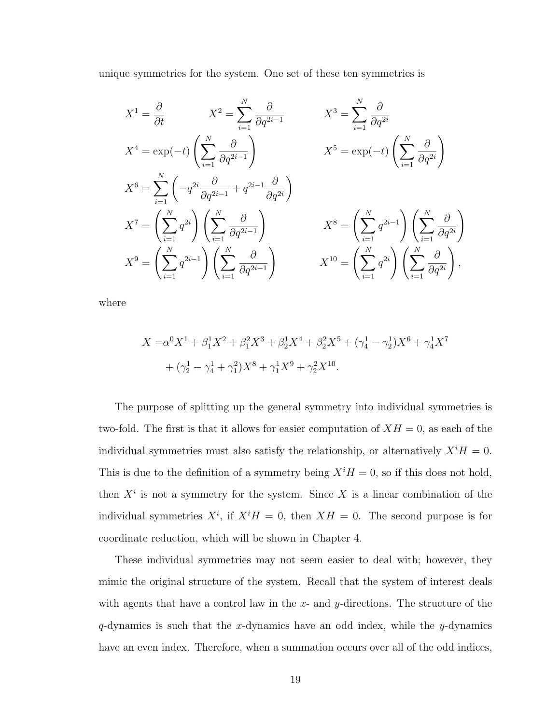unique symmetries for the system. One set of these ten symmetries is

$$
X^{1} = \frac{\partial}{\partial t} \qquad X^{2} = \sum_{i=1}^{N} \frac{\partial}{\partial q^{2i-1}} \qquad X^{3} = \sum_{i=1}^{N} \frac{\partial}{\partial q^{2i}}
$$
  
\n
$$
X^{4} = \exp(-t) \left( \sum_{i=1}^{N} \frac{\partial}{\partial q^{2i-1}} \right) \qquad X^{5} = \exp(-t) \left( \sum_{i=1}^{N} \frac{\partial}{\partial q^{2i}} \right)
$$
  
\n
$$
X^{6} = \sum_{i=1}^{N} \left( -q^{2i} \frac{\partial}{\partial q^{2i-1}} + q^{2i-1} \frac{\partial}{\partial q^{2i}} \right)
$$
  
\n
$$
X^{7} = \left( \sum_{i=1}^{N} q^{2i} \right) \left( \sum_{i=1}^{N} \frac{\partial}{\partial q^{2i-1}} \right) \qquad X^{8} = \left( \sum_{i=1}^{N} q^{2i-1} \right) \left( \sum_{i=1}^{N} \frac{\partial}{\partial q^{2i}} \right)
$$
  
\n
$$
X^{9} = \left( \sum_{i=1}^{N} q^{2i-1} \right) \left( \sum_{i=1}^{N} \frac{\partial}{\partial q^{2i-1}} \right) \qquad X^{10} = \left( \sum_{i=1}^{N} q^{2i} \right) \left( \sum_{i=1}^{N} \frac{\partial}{\partial q^{2i}} \right),
$$

where

$$
X = \alpha^0 X^1 + \beta_1^1 X^2 + \beta_1^2 X^3 + \beta_2^1 X^4 + \beta_2^2 X^5 + (\gamma_4^1 - \gamma_2^1) X^6 + \gamma_4^1 X^7
$$
  
+ 
$$
(\gamma_2^1 - \gamma_4^1 + \gamma_1^2) X^8 + \gamma_1^1 X^9 + \gamma_2^2 X^{10}.
$$

The purpose of splitting up the general symmetry into individual symmetries is two-fold. The first is that it allows for easier computation of  $XH = 0$ , as each of the individual symmetries must also satisfy the relationship, or alternatively  $X<sup>i</sup>H = 0$ . This is due to the definition of a symmetry being  $X<sup>i</sup>H = 0$ , so if this does not hold, then  $X^i$  is not a symmetry for the system. Since X is a linear combination of the individual symmetries  $X^i$ , if  $X^i$  = 0, then  $X$  = 0. The second purpose is for coordinate reduction, which will be shown in Chapter 4.

These individual symmetries may not seem easier to deal with; however, they mimic the original structure of the system. Recall that the system of interest deals with agents that have a control law in the  $x$ - and  $y$ -directions. The structure of the  $q$ -dynamics is such that the x-dynamics have an odd index, while the y-dynamics have an even index. Therefore, when a summation occurs over all of the odd indices,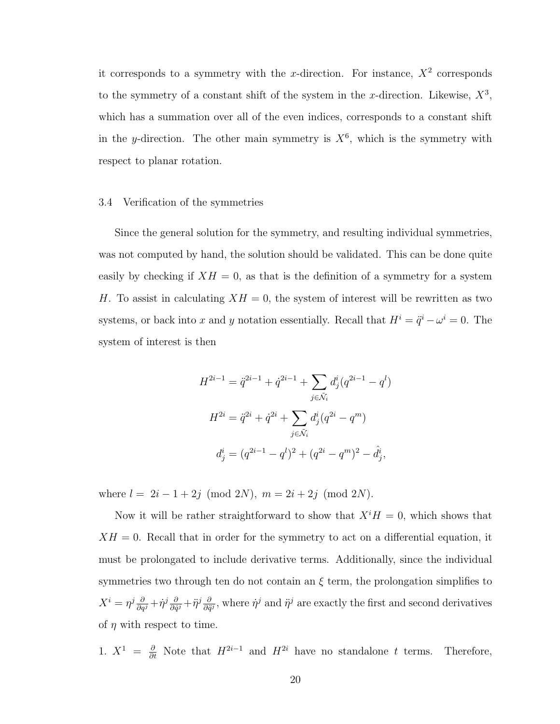it corresponds to a symmetry with the x-direction. For instance,  $X^2$  corresponds to the symmetry of a constant shift of the system in the x-direction. Likewise,  $X^3$ , which has a summation over all of the even indices, corresponds to a constant shift in the y-direction. The other main symmetry is  $X^6$ , which is the symmetry with respect to planar rotation.

#### <span id="page-31-0"></span>3.4 Verification of the symmetries

Since the general solution for the symmetry, and resulting individual symmetries, was not computed by hand, the solution should be validated. This can be done quite easily by checking if  $XH = 0$ , as that is the definition of a symmetry for a system H. To assist in calculating  $XH = 0$ , the system of interest will be rewritten as two systems, or back into x and y notation essentially. Recall that  $H^i = \ddot{q}^i - \omega^i = 0$ . The system of interest is then

$$
H^{2i-1} = \ddot{q}^{2i-1} + \dot{q}^{2i-1} + \sum_{j \in \tilde{\mathcal{N}}_i} d_j^i (q^{2i-1} - q^l)
$$
  

$$
H^{2i} = \ddot{q}^{2i} + \dot{q}^{2i} + \sum_{j \in \tilde{\mathcal{N}}_i} d_j^i (q^{2i} - q^m)
$$
  

$$
d_j^i = (q^{2i-1} - q^l)^2 + (q^{2i} - q^m)^2 - \dot{d}_j^i,
$$

where  $l = 2i - 1 + 2j \pmod{2N}$ ,  $m = 2i + 2j \pmod{2N}$ .

Now it will be rather straightforward to show that  $X<sup>i</sup>H = 0$ , which shows that  $XH = 0$ . Recall that in order for the symmetry to act on a differential equation, it must be prolongated to include derivative terms. Additionally, since the individual symmetries two through ten do not contain an  $\xi$  term, the prolongation simplifies to  $X^i=\eta^j\frac{\partial}{\partial q^j} \!+\! \dot{\eta}^j\frac{\partial}{\partial \dot{q}}$  $\frac{\partial}{\partial \dot{q}^j} + \ddot{\eta}^j \frac{\partial}{\partial \ddot{q}}$  $\frac{\partial}{\partial \ddot{q}^j}$ , where  $\dot{\eta}^j$  and  $\ddot{\eta}^j$  are exactly the first and second derivatives of  $\eta$  with respect to time.

1.  $X^1 = \frac{\partial}{\partial t}$  Note that  $H^{2i-1}$  and  $H^{2i}$  have no standalone t terms. Therefore,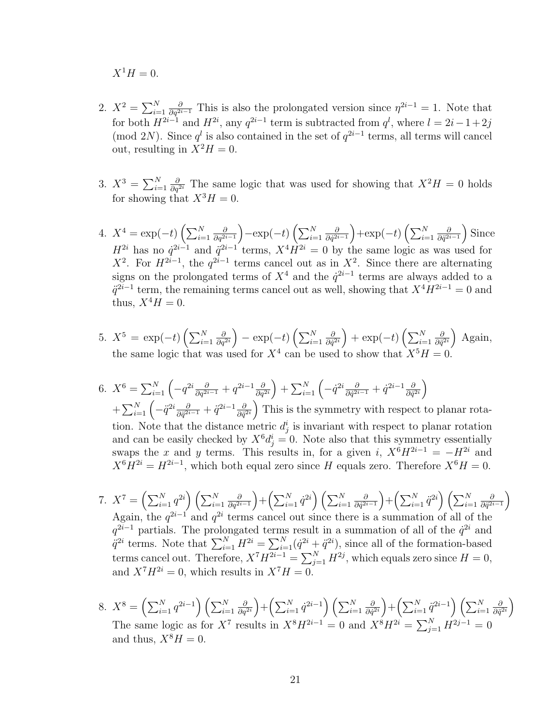$X^1H = 0.$ 

- 2.  $X^2 = \sum_{i=1}^N$  $\frac{\partial}{\partial q^{2i-1}}$  This is also the prolongated version since  $\eta^{2i-1} = 1$ . Note that for both  $H^{2i-1}$  and  $H^{2i}$ , any  $q^{2i-1}$  term is subtracted from  $q^l$ , where  $l = 2i-1+2j$ (mod 2N). Since  $q<sup>l</sup>$  is also contained in the set of  $q<sup>2i-1</sup>$  terms, all terms will cancel out, resulting in  $X^2H = 0$ .
- 3.  $X^3 = \sum_{i=1}^N$  $\frac{\partial}{\partial q^{2i}}$  The same logic that was used for showing that  $X^2H = 0$  holds for showing that  $X^3H = 0$ .
- 4.  $X^4 = \exp(-t) \left( \sum_{i=1}^N \right)$ ∂  $\frac{\partial}{\partial q^{2i-1}}$   $-\exp(-t)\left(\sum_{i=1}^N\right)$ ∂  $\frac{\partial}{\partial \dot{q}^{2i-1}}$  +  $\exp(-t)\left(\sum_{i=1}^N\right)$ ∂  $\frac{\partial}{\partial \ddot{q}^{2i-1}}$  Since  $H^{2i}$  has no  $\dot{q}^{2i-1}$  and  $\ddot{q}^{2i-1}$  terms,  $X^4 H^{2i} = 0$  by the same logic as was used for  $X^2$ . For  $H^{2i-1}$ , the  $q^{2i-1}$  terms cancel out as in  $X^2$ . Since there are alternating signs on the prolongated terms of  $X^4$  and the  $\dot{q}^{2i-1}$  terms are always added to a  $\ddot{q}^{2i-1}$  term, the remaining terms cancel out as well, showing that  $X^4 H^{2i-1} = 0$  and thus,  $X^4H = 0$ .
- 5.  $X^5 = \exp(-t) \left( \sum_{i=1}^N \right)$ ∂  $\frac{\partial}{\partial q^{2i}}\Big) - \exp(-t) \left(\sum_{i=1}^N\right)$ ∂  $\frac{\partial}{\partial \dot{q}^{2i}}\Big)+\exp(-t)\left(\sum_{i=1}^N% \frac{1}{\left|\sum_{i=1}^N\right|}(\sum_{j=1}^N)\right)$ ∂  $\frac{\partial}{\partial \ddot{q}^{2i}}\bigg)$  Again, the same logic that was used for  $X^4$  can be used to show that  $X^5H = 0$ .
- 6.  $X^6 = \sum_{i=1}^{N} \left( -q^{2i} \frac{\partial}{\partial q^{2i-1}} + q^{2i-1} \frac{\partial}{\partial q^i} \right)$  $\left(\frac{\partial}{\partial q^{2i}}\right)+\sum_{i=1}^N\left(-\dot q^{2i}\frac{\partial}{\partial \dot q^{2i}}\right)$  $\frac{\partial}{\partial \dot{q}^{2i-1}} + \dot{q}^{2i-1} \frac{\partial}{\partial \dot{q}^{i}}$  $\frac{\partial}{\partial \dot{q}^{2i}}\Big)$  $+\sum_{i=1}^N\left(-\ddot{q}^{2i}\frac{\partial}{\partial\ddot{q}^{2i}}\right)$  $\frac{\partial}{\partial \ddot{q}^{2i-1}} + \ddot{q}^{2i-1} \frac{\partial}{\partial \ddot{q}}$  $\frac{\partial}{\partial \ddot{q}^{2i}}$  This is the symmetry with respect to planar rotation. Note that the distance metric  $d_j^i$  is invariant with respect to planar rotation and can be easily checked by  $X^6 d_j^i = 0$ . Note also that this symmetry essentially swaps the x and y terms. This results in, for a given i,  $X^6H^{2i-1} = -H^{2i}$  and  $X^{6}H^{2i} = H^{2i-1}$ , which both equal zero since H equals zero. Therefore  $X^{6}H = 0$ .
- 7.  $X^7 = \left(\sum_{i=1}^N q^{2i}\right)\left(\sum_{i=1}^N q^{2i}\right)$ ∂  $\left(\frac{\partial}{\partial q^{2i-1}}\right) + \left(\sum_{i=1}^N \dot{q}^{2i}\right) \left(\sum_{i=1}^N \dot{q}^{2i}\right)$ ∂  $\left(\frac{\partial}{\partial \dot{q}^{2i-1}}\right) + \left(\sum_{i=1}^N \ddot{q}^{2i}\right) \left(\sum_{i=1}^N \ddot{q}^{2i}\right)$ ∂  $\frac{\partial}{\partial \ddot{q}^{2i-1}}\Big)$ Again, the  $q^{2i-1}$  and  $q^{2i}$  terms cancel out since there is a summation of all of the  $q^{2i-1}$  partials. The prolongated terms result in a summation of all of the  $\dot{q}^{2i}$  and  $\ddot{q}^{2i}$  terms. Note that  $\sum_{i=1}^{N} H^{2i} = \sum_{i=1}^{N} (\dot{q}^{2i} + \ddot{q}^{2i})$ , since all of the formation-based terms cancel out. Therefore,  $X^{7}H^{2i-1} = \sum_{j=1}^{N} H^{2j}$ , which equals zero since  $H = 0$ , and  $X^7H^{2i} = 0$ , which results in  $X^7H = 0$ .
- 8.  $X^8 = \left(\sum_{i=1}^N q^{2i-1}\right)\left(\sum_{i=1}^N q^{2i}\right)$ ∂  $\left(\frac{\partial}{\partial q^{2i}}\right) + \left(\sum_{i=1}^N \dot{q}^{2i-1}\right) \left(\sum_{i=1}^N \dot{q}^{2i}\right)$ ∂  $\left(\frac{\partial}{\partial \dot{q}^{2i}}\right) + \left(\sum_{i=1}^N \ddot{q}^{2i-1}\right) \left(\sum_{i=1}^N\right)$ ∂  $\frac{\partial}{\partial \ddot{q}^{2i}}\bigg)$ The same logic as for  $X^7$  results in  $X^8 H^{2i-1} = 0$  and  $X^8 H^{2i} = \sum_{j=1}^{N} H^{2j-1} = 0$ and thus,  $X^8H = 0$ .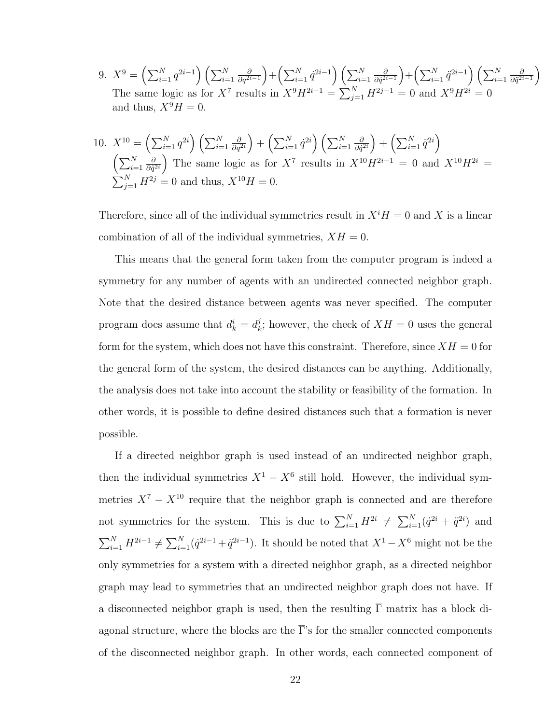9.  $X^9 = \left(\sum_{i=1}^N q^{2i-1}\right)\left(\sum_{i=1}^N q^{2i}\right)$ ∂  $\left(\frac{\partial}{\partial q^{2i-1}}\right) + \left(\sum_{i=1}^N \dot{q}^{2i-1}\right) \left(\sum_{i=1}^N \dot{q}^{2i}\right)$ ∂  $\left(\frac{\partial}{\partial \dot{q}^{2i-1}}\right) + \left(\sum_{i=1}^N \ddot{q}^{2i-1}\right) \left(\sum_{i=1}^N \ddot{q}^{2i}\right)$ ∂  $\frac{\partial}{\partial \ddot{q}^{2i-1}}\Big)$ The same logic as for  $X^7$  results in  $X^9 H^{2i-1} = \sum_{j=1}^{N} H^{2j-1} = 0$  and  $X^9 H^{2i} = 0$ and thus,  $X^9H = 0$ .

10. 
$$
X^{10} = \left(\sum_{i=1}^{N} q^{2i}\right) \left(\sum_{i=1}^{N} \frac{\partial}{\partial q^{2i}}\right) + \left(\sum_{i=1}^{N} \dot{q}^{2i}\right) \left(\sum_{i=1}^{N} \frac{\partial}{\partial \dot{q}^{2i}}\right) + \left(\sum_{i=1}^{N} \ddot{q}^{2i}\right)
$$

$$
\left(\sum_{i=1}^{N} \frac{\partial}{\partial \ddot{q}^{2i}}\right) \text{ The same logic as for } X^7 \text{ results in } X^{10}H^{2i-1} = 0 \text{ and } X^{10}H^{2i} = \sum_{j=1}^{N} H^{2j} = 0 \text{ and thus, } X^{10}H = 0.
$$

Therefore, since all of the individual symmetries result in  $X<sup>i</sup>H = 0$  and X is a linear combination of all of the individual symmetries,  $XH = 0$ .

This means that the general form taken from the computer program is indeed a symmetry for any number of agents with an undirected connected neighbor graph. Note that the desired distance between agents was never specified. The computer program does assume that  $d_k^i = d_k^j$  $\mathcal{L}_k^j$ ; however, the check of  $XH = 0$  uses the general form for the system, which does not have this constraint. Therefore, since  $XH = 0$  for the general form of the system, the desired distances can be anything. Additionally, the analysis does not take into account the stability or feasibility of the formation. In other words, it is possible to define desired distances such that a formation is never possible.

If a directed neighbor graph is used instead of an undirected neighbor graph, then the individual symmetries  $X^1 - X^6$  still hold. However, the individual symmetries  $X^7 - X^{10}$  require that the neighbor graph is connected and are therefore not symmetries for the system. This is due to  $\sum_{i=1}^{N} H^{2i} \neq \sum_{i=1}^{N} (\dot{q}^{2i} + \ddot{q}^{2i})$  and  $\sum_{i=1}^{N} H^{2i-1} \neq \sum_{i=1}^{N} (\dot{q}^{2i-1} + \ddot{q}^{2i-1})$ . It should be noted that  $X^1 - X^6$  might not be the only symmetries for a system with a directed neighbor graph, as a directed neighbor graph may lead to symmetries that an undirected neighbor graph does not have. If a disconnected neighbor graph is used, then the resulting  $\overline{\Gamma}$  matrix has a block diagonal structure, where the blocks are the  $\overline{\Gamma}$ 's for the smaller connected components of the disconnected neighbor graph. In other words, each connected component of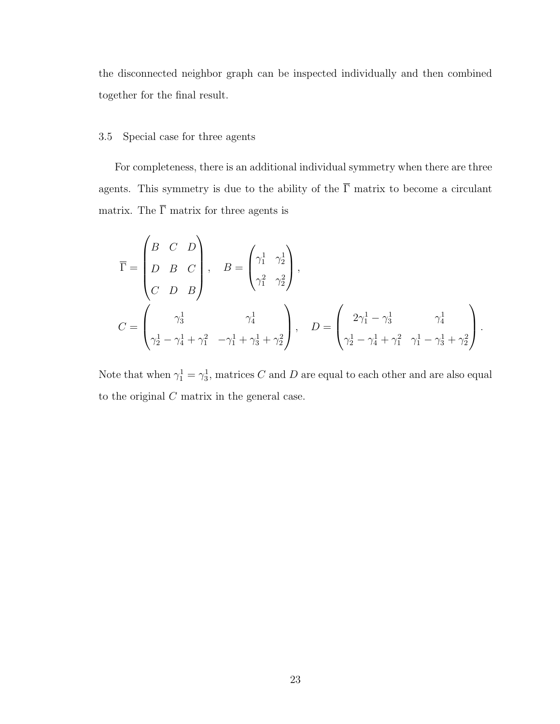the disconnected neighbor graph can be inspected individually and then combined together for the final result.

## <span id="page-34-0"></span>3.5 Special case for three agents

For completeness, there is an additional individual symmetry when there are three agents. This symmetry is due to the ability of the  $\overline{\Gamma}$  matrix to become a circulant matrix. The  $\overline{\Gamma}$  matrix for three agents is

$$
\overline{\Gamma} = \begin{pmatrix} B & C & D \\ D & B & C \\ C & D & B \end{pmatrix}, \quad B = \begin{pmatrix} \gamma_1^1 & \gamma_2^1 \\ \gamma_1^2 & \gamma_2^2 \end{pmatrix},
$$
\n
$$
C = \begin{pmatrix} \gamma_3^1 & \gamma_4^1 \\ \gamma_2^1 - \gamma_4^1 + \gamma_1^2 & -\gamma_1^1 + \gamma_3^1 + \gamma_2^2 \end{pmatrix}, \quad D = \begin{pmatrix} 2\gamma_1^1 - \gamma_3^1 & \gamma_4^1 \\ \gamma_2^1 - \gamma_4^1 + \gamma_1^2 & \gamma_1^1 - \gamma_3^1 + \gamma_2^2 \end{pmatrix}.
$$

Note that when  $\gamma_1^1 = \gamma_3^1$ , matrices C and D are equal to each other and are also equal to the original  $C$  matrix in the general case.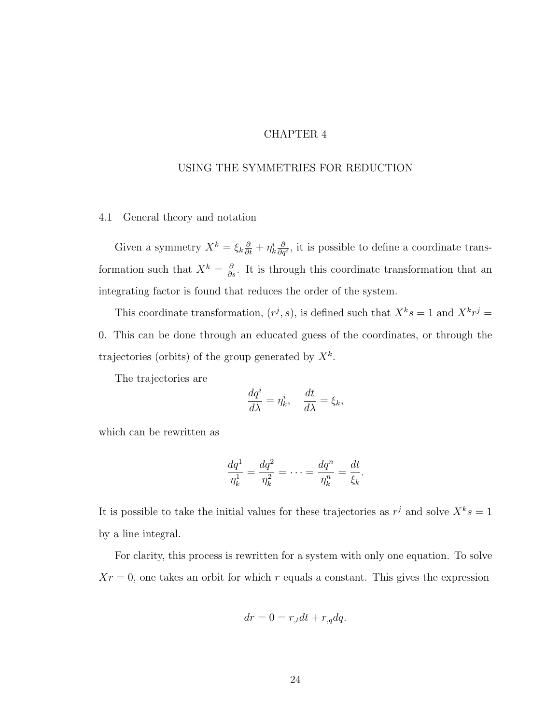#### CHAPTER 4

## <span id="page-35-0"></span>USING THE SYMMETRIES FOR REDUCTION

## <span id="page-35-1"></span>4.1 General theory and notation

Given a symmetry  $X^k = \xi_k \frac{\partial}{\partial t} + \eta_k^i \frac{\partial}{\partial q}$  $\frac{\partial}{\partial q^i}$ , it is possible to define a coordinate transformation such that  $X^k = \frac{\partial}{\partial s}$ . It is through this coordinate transformation that an integrating factor is found that reduces the order of the system.

This coordinate transformation,  $(r^j, s)$ , is defined such that  $X^k s = 1$  and  $X^k r^j =$ 0. This can be done through an educated guess of the coordinates, or through the trajectories (orbits) of the group generated by  $X^k$ .

The trajectories are

$$
\frac{dq^i}{d\lambda} = \eta_k^i, \quad \frac{dt}{d\lambda} = \xi_k,
$$

which can be rewritten as

$$
\frac{dq^1}{\eta_k^1} = \frac{dq^2}{\eta_k^2} = \dots = \frac{dq^n}{\eta_k^n} = \frac{dt}{\xi_k}.
$$

It is possible to take the initial values for these trajectories as  $r^j$  and solve  $X^k s = 1$ by a line integral.

For clarity, this process is rewritten for a system with only one equation. To solve  $Xr = 0$ , one takes an orbit for which r equals a constant. This gives the expression

$$
dr = 0 = r_{,t}dt + r_{,q}dq.
$$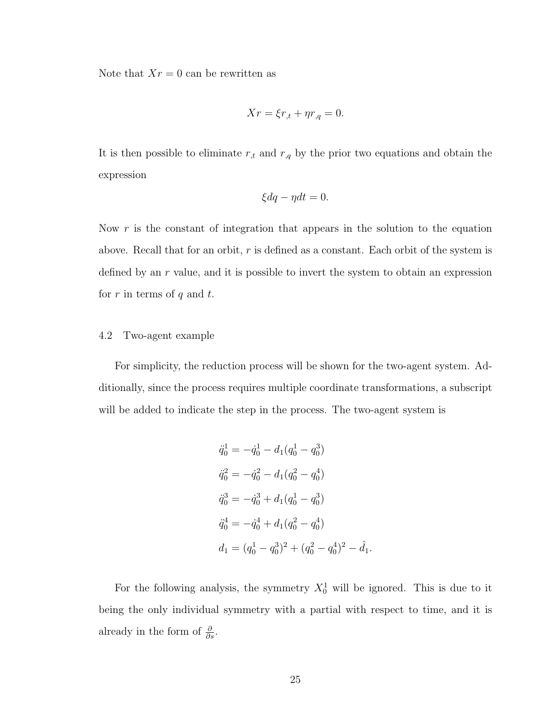Note that  $Xr = 0$  can be rewritten as

$$
Xr = \xi r_{,t} + \eta r_{,q} = 0.
$$

It is then possible to eliminate  $r_{,t}$  and  $r_{,q}$  by the prior two equations and obtain the expression

$$
\xi dq - \eta dt = 0.
$$

Now  $r$  is the constant of integration that appears in the solution to the equation above. Recall that for an orbit,  $r$  is defined as a constant. Each orbit of the system is defined by an r value, and it is possible to invert the system to obtain an expression for r in terms of q and t.

## <span id="page-36-0"></span>4.2 Two-agent example

For simplicity, the reduction process will be shown for the two-agent system. Additionally, since the process requires multiple coordinate transformations, a subscript will be added to indicate the step in the process. The two-agent system is

$$
\ddot{q}_0^1 = -\dot{q}_0^1 - d_1(q_0^1 - q_0^3)
$$
  
\n
$$
\ddot{q}_0^2 = -\dot{q}_0^2 - d_1(q_0^2 - q_0^4)
$$
  
\n
$$
\ddot{q}_0^3 = -\dot{q}_0^3 + d_1(q_0^1 - q_0^3)
$$
  
\n
$$
\ddot{q}_0^4 = -\dot{q}_0^4 + d_1(q_0^2 - q_0^4)
$$
  
\n
$$
d_1 = (q_0^1 - q_0^3)^2 + (q_0^2 - q_0^4)^2 - \dot{d}_1.
$$

For the following analysis, the symmetry  $X_0^1$  will be ignored. This is due to it being the only individual symmetry with a partial with respect to time, and it is already in the form of  $\frac{\partial}{\partial s}$ .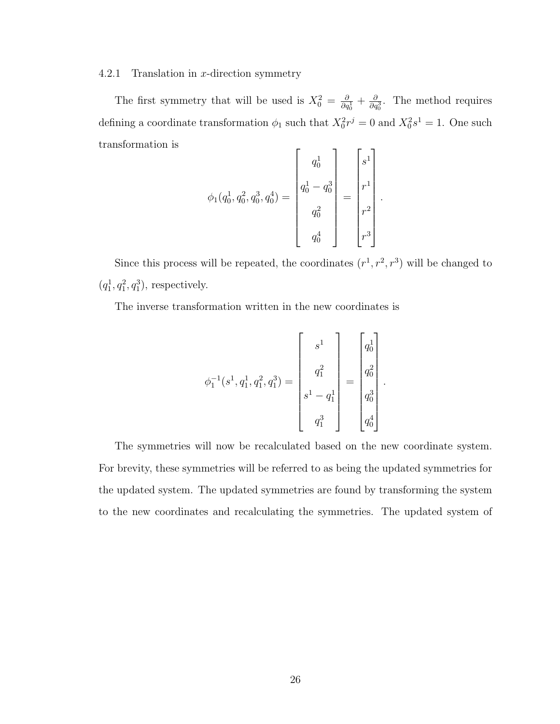<span id="page-37-0"></span>4.2.1 Translation in x-direction symmetry

The first symmetry that will be used is  $X_0^2 = \frac{\partial}{\partial q_0^1} + \frac{\partial}{\partial q_0^3}$ . The method requires defining a coordinate transformation  $\phi_1$  such that  $X_0^2 r^j = 0$  and  $X_0^2 s^1 = 1$ . One such transformation is  $\mathbf{I}$ 

$$
\phi_1(q_0^1, q_0^2, q_0^3, q_0^4) = \begin{bmatrix} q_0^1 \\ q_0^1 - q_0^3 \\ q_0^2 \\ q_0^4 \end{bmatrix} = \begin{bmatrix} s^1 \\ r^1 \\ r^2 \\ r^3 \end{bmatrix}.
$$

Since this process will be repeated, the coordinates  $(r^1, r^2, r^3)$  will be changed to  $(q_1^1, q_1^2, q_1^3)$ , respectively.

The inverse transformation written in the new coordinates is

$$
\phi_1^{-1}(s^1, q_1^1, q_1^2, q_1^3) = \begin{bmatrix} s^1 \\ q_1^2 \\ \vdots \\ s^1 - q_1^1 \\ q_1^3 \end{bmatrix} = \begin{bmatrix} q_0^1 \\ q_0^2 \\ \vdots \\ q_0^3 \\ q_0^4 \end{bmatrix}
$$

.

The symmetries will now be recalculated based on the new coordinate system. For brevity, these symmetries will be referred to as being the updated symmetries for the updated system. The updated symmetries are found by transforming the system to the new coordinates and recalculating the symmetries. The updated system of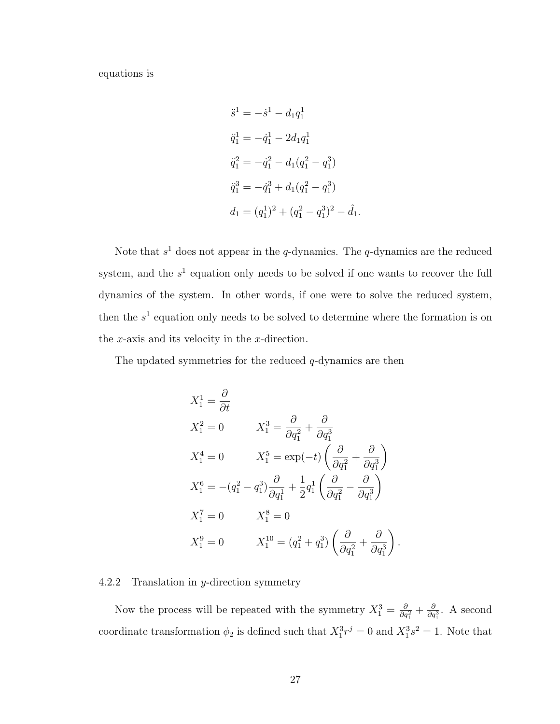equations is

$$
\ddot{s}^{1} = -\dot{s}^{1} - d_{1}q_{1}^{1}
$$
\n
$$
\ddot{q}_{1}^{1} = -\dot{q}_{1}^{1} - 2d_{1}q_{1}^{1}
$$
\n
$$
\ddot{q}_{1}^{2} = -\dot{q}_{1}^{2} - d_{1}(q_{1}^{2} - q_{1}^{3})
$$
\n
$$
\ddot{q}_{1}^{3} = -\dot{q}_{1}^{3} + d_{1}(q_{1}^{2} - q_{1}^{3})
$$
\n
$$
d_{1} = (q_{1}^{1})^{2} + (q_{1}^{2} - q_{1}^{3})^{2} - \dot{d}_{1}.
$$

Note that  $s^1$  does not appear in the q-dynamics. The q-dynamics are the reduced system, and the  $s<sup>1</sup>$  equation only needs to be solved if one wants to recover the full dynamics of the system. In other words, if one were to solve the reduced system, then the  $s<sup>1</sup>$  equation only needs to be solved to determine where the formation is on the  $x$ -axis and its velocity in the  $x$ -direction.

The updated symmetries for the reduced  $q$ -dynamics are then

$$
X_1^1 = \frac{\partial}{\partial t}
$$
  
\n
$$
X_1^2 = 0 \t X_1^3 = \frac{\partial}{\partial q_1^2} + \frac{\partial}{\partial q_1^3}
$$
  
\n
$$
X_1^4 = 0 \t X_1^5 = \exp(-t) \left( \frac{\partial}{\partial q_1^2} + \frac{\partial}{\partial q_1^3} \right)
$$
  
\n
$$
X_1^6 = -(q_1^2 - q_1^3) \frac{\partial}{\partial q_1^1} + \frac{1}{2} q_1^1 \left( \frac{\partial}{\partial q_1^2} - \frac{\partial}{\partial q_1^3} \right)
$$
  
\n
$$
X_1^7 = 0 \t X_1^8 = 0
$$
  
\n
$$
X_1^9 = 0 \t X_1^{10} = (q_1^2 + q_1^3) \left( \frac{\partial}{\partial q_1^2} + \frac{\partial}{\partial q_1^3} \right)
$$

## <span id="page-38-0"></span>4.2.2 Translation in y-direction symmetry

Now the process will be repeated with the symmetry  $X_1^3 = \frac{\partial}{\partial q_1^2} + \frac{\partial}{\partial q_1^3}$ . A second coordinate transformation  $\phi_2$  is defined such that  $X_1^3 r^j = 0$  and  $X_1^3 s^2 = 1$ . Note that

.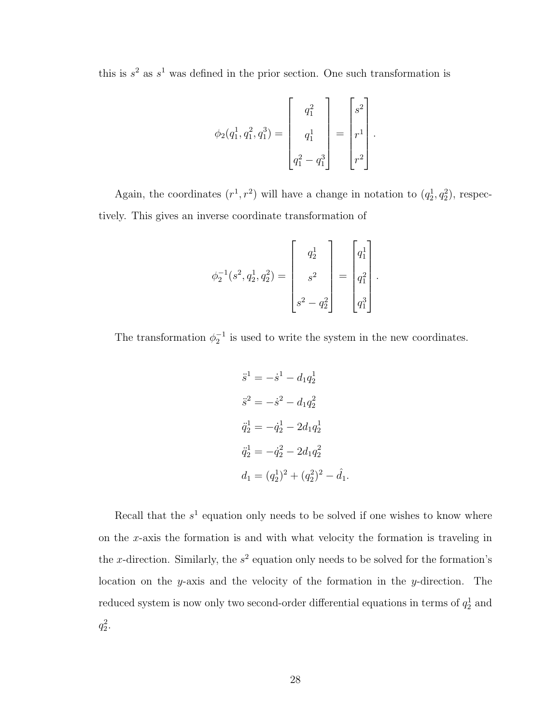this is  $s^2$  as  $s^1$  was defined in the prior section. One such transformation is

$$
\phi_2(q_1^1, q_1^2, q_1^3) = \begin{bmatrix} q_1^2 \\ q_1^1 \\ q_1^2 - q_1^3 \end{bmatrix} = \begin{bmatrix} s^2 \\ r^1 \\ r^2 \end{bmatrix}.
$$

Again, the coordinates  $(r^1, r^2)$  will have a change in notation to  $(q_2^1, q_2^2)$ , respectively. This gives an inverse coordinate transformation of

$$
\phi_2^{-1}(s^2, q_2^1, q_2^2) = \begin{bmatrix} q_2^1 \\ s^2 \\ s^2 - q_2^2 \end{bmatrix} = \begin{bmatrix} q_1^1 \\ q_1^2 \\ q_1^3 \end{bmatrix}.
$$

The transformation  $\phi_2^{-1}$  is used to write the system in the new coordinates.

$$
\ddot{s}^{1} = -\dot{s}^{1} - d_{1}q_{2}^{1}
$$
  
\n
$$
\ddot{s}^{2} = -\dot{s}^{2} - d_{1}q_{2}^{2}
$$
  
\n
$$
\ddot{q}_{2}^{1} = -\dot{q}_{2}^{1} - 2d_{1}q_{2}^{1}
$$
  
\n
$$
\ddot{q}_{2}^{1} = -\dot{q}_{2}^{2} - 2d_{1}q_{2}^{2}
$$
  
\n
$$
d_{1} = (q_{2}^{1})^{2} + (q_{2}^{2})^{2} - \hat{d}_{1}.
$$

Recall that the  $s<sup>1</sup>$  equation only needs to be solved if one wishes to know where on the x-axis the formation is and with what velocity the formation is traveling in the x-direction. Similarly, the  $s^2$  equation only needs to be solved for the formation's location on the y-axis and the velocity of the formation in the y-direction. The reduced system is now only two second-order differential equations in terms of  $q_2^1$  and  $q_2^2$ .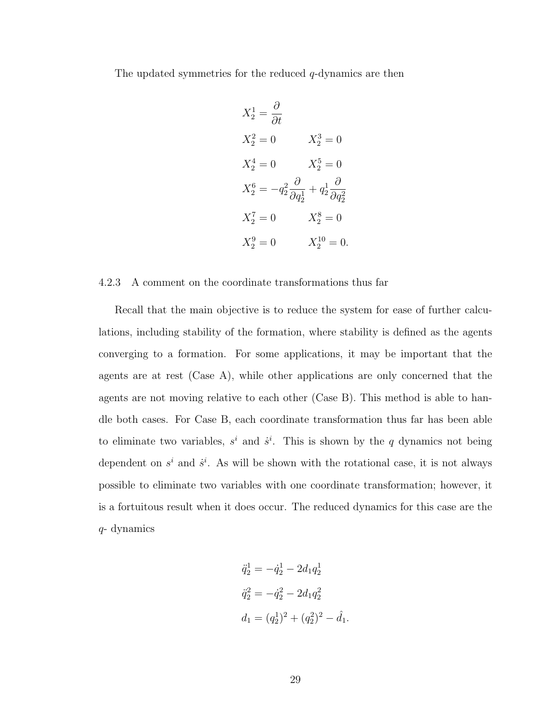The updated symmetries for the reduced  $q$ -dynamics are then

$$
X_2^1 = \frac{\partial}{\partial t}
$$
  
\n
$$
X_2^2 = 0 \t X_2^3 = 0
$$
  
\n
$$
X_2^4 = 0 \t X_2^5 = 0
$$
  
\n
$$
X_2^6 = -q_2^2 \frac{\partial}{\partial q_2^1} + q_2^1 \frac{\partial}{\partial q_2^2}
$$
  
\n
$$
X_2^7 = 0 \t X_2^8 = 0
$$
  
\n
$$
X_2^9 = 0 \t X_2^{10} = 0.
$$

#### <span id="page-40-0"></span>4.2.3 A comment on the coordinate transformations thus far

Recall that the main objective is to reduce the system for ease of further calculations, including stability of the formation, where stability is defined as the agents converging to a formation. For some applications, it may be important that the agents are at rest (Case A), while other applications are only concerned that the agents are not moving relative to each other (Case B). This method is able to handle both cases. For Case B, each coordinate transformation thus far has been able to eliminate two variables,  $s^i$  and  $\dot{s}^i$ . This is shown by the q dynamics not being dependent on  $s^i$  and  $\dot{s}^i$ . As will be shown with the rotational case, it is not always possible to eliminate two variables with one coordinate transformation; however, it is a fortuitous result when it does occur. The reduced dynamics for this case are the q- dynamics

$$
\ddot{q}_2^1 = -\dot{q}_2^1 - 2d_1 q_2^1
$$
  

$$
\ddot{q}_2^2 = -\dot{q}_2^2 - 2d_1 q_2^2
$$
  

$$
d_1 = (q_2^1)^2 + (q_2^2)^2 - \hat{d}_1.
$$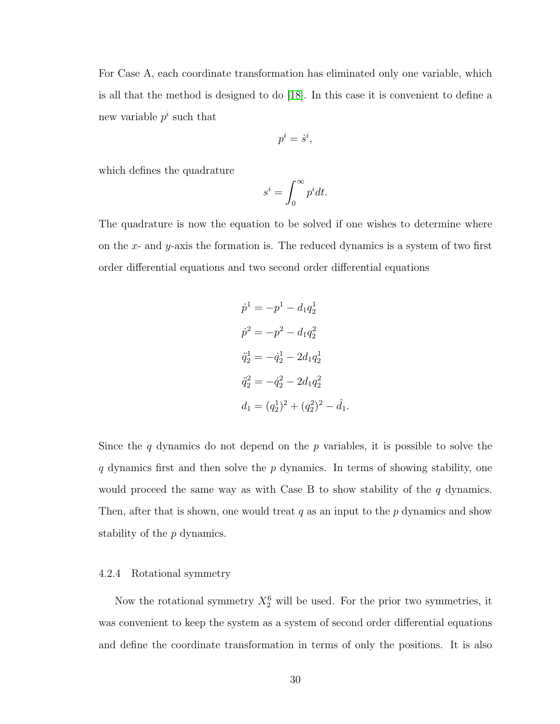For Case A, each coordinate transformation has eliminated only one variable, which is all that the method is designed to do [\[18\]](#page-67-5). In this case it is convenient to define a new variable  $p^i$  such that

$$
p^i = \dot{s}^i,
$$

which defines the quadrature

$$
s^i = \int_0^\infty p^i dt.
$$

The quadrature is now the equation to be solved if one wishes to determine where on the x- and y-axis the formation is. The reduced dynamics is a system of two first order differential equations and two second order differential equations

$$
\dot{p}^1 = -p^1 - d_1 q_2^1
$$
  
\n
$$
\dot{p}^2 = -p^2 - d_1 q_2^2
$$
  
\n
$$
\ddot{q}_2^1 = -\dot{q}_2^1 - 2d_1 q_2^1
$$
  
\n
$$
\ddot{q}_2^2 = -\dot{q}_2^2 - 2d_1 q_2^2
$$
  
\n
$$
d_1 = (q_2^1)^2 + (q_2^2)^2 - \dot{d}_1.
$$

Since the q dynamics do not depend on the  $p$  variables, it is possible to solve the q dynamics first and then solve the  $p$  dynamics. In terms of showing stability, one would proceed the same way as with Case B to show stability of the  $q$  dynamics. Then, after that is shown, one would treat  $q$  as an input to the  $p$  dynamics and show stability of the p dynamics.

## <span id="page-41-0"></span>4.2.4 Rotational symmetry

Now the rotational symmetry  $X_2^6$  will be used. For the prior two symmetries, it was convenient to keep the system as a system of second order differential equations and define the coordinate transformation in terms of only the positions. It is also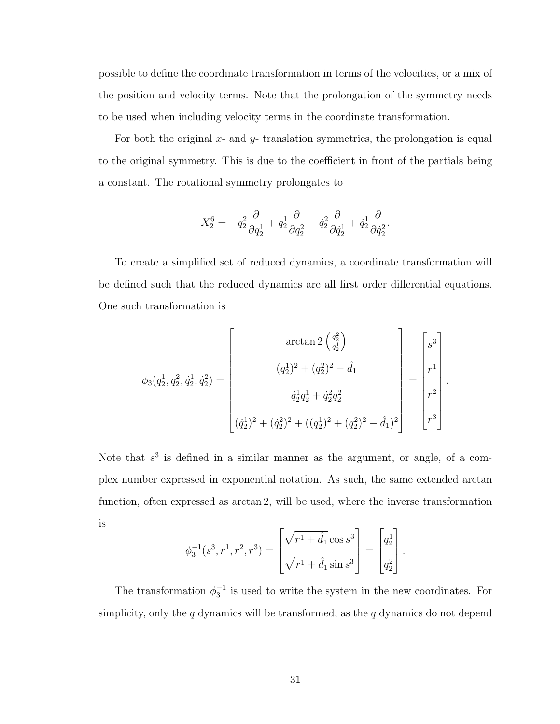possible to define the coordinate transformation in terms of the velocities, or a mix of the position and velocity terms. Note that the prolongation of the symmetry needs to be used when including velocity terms in the coordinate transformation.

For both the original  $x$ - and  $y$ - translation symmetries, the prolongation is equal to the original symmetry. This is due to the coefficient in front of the partials being a constant. The rotational symmetry prolongates to

$$
X_2^6 = -q_2^2 \frac{\partial}{\partial q_2^1} + q_2^1 \frac{\partial}{\partial q_2^2} - \dot{q}_2^2 \frac{\partial}{\partial \dot{q}_2^1} + \dot{q}_2^1 \frac{\partial}{\partial \dot{q}_2^2}.
$$

To create a simplified set of reduced dynamics, a coordinate transformation will be defined such that the reduced dynamics are all first order differential equations. One such transformation is

$$
\phi_3(q_2^1, q_2^2, \dot{q}_2^1, \dot{q}_2^2) = \begin{bmatrix} \arctan 2 \left( \frac{q_2^2}{q_2^1} \right) \\ (q_2^1)^2 + (q_2^2)^2 - \hat{d}_1 \\ \dot{q}_2^1 q_2^1 + \dot{q}_2^2 q_2^2 \\ (\dot{q}_2^1)^2 + (\dot{q}_2^2)^2 + ((q_2^1)^2 + (q_2^2)^2 - \hat{d}_1)^2 \end{bmatrix} = \begin{bmatrix} s^3 \\ r^1 \\ r^2 \\ r^3 \end{bmatrix}.
$$

Note that  $s^3$  is defined in a similar manner as the argument, or angle, of a complex number expressed in exponential notation. As such, the same extended arctan function, often expressed as arctan 2, will be used, where the inverse transformation is

$$
\phi_3^{-1}(s^3, r^1, r^2, r^3) = \begin{bmatrix} \sqrt{r^1 + \hat{d}_1} \cos s^3 \\ \sqrt{r^1 + \hat{d}_1} \sin s^3 \end{bmatrix} = \begin{bmatrix} q_2^1 \\ q_2^2 \end{bmatrix}.
$$

The transformation  $\phi_3^{-1}$  is used to write the system in the new coordinates. For simplicity, only the  $q$  dynamics will be transformed, as the  $q$  dynamics do not depend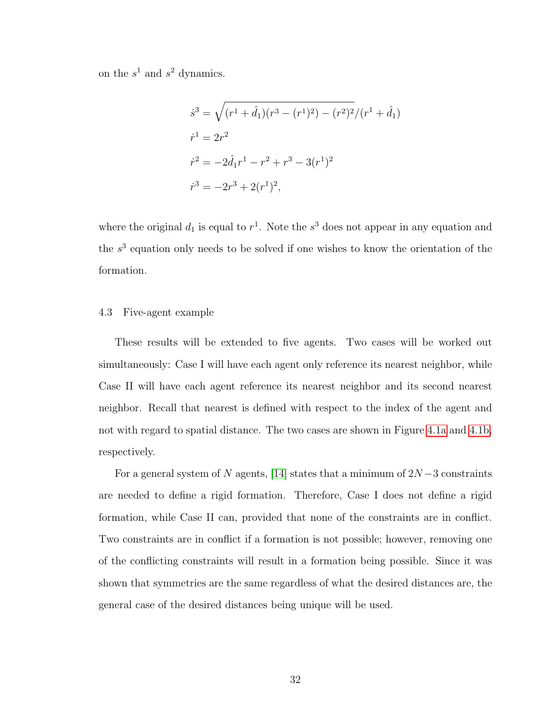on the  $s^1$  and  $s^2$  dynamics.

$$
\dot{s}^3 = \sqrt{(r^1 + \hat{d}_1)(r^3 - (r^1)^2) - (r^2)^2}/(r^1 + \hat{d}_1)
$$
  
\n
$$
\dot{r}^1 = 2r^2
$$
  
\n
$$
\dot{r}^2 = -2\hat{d}_1r^1 - r^2 + r^3 - 3(r^1)^2
$$
  
\n
$$
\dot{r}^3 = -2r^3 + 2(r^1)^2,
$$

where the original  $d_1$  is equal to  $r^1$ . Note the  $s^3$  does not appear in any equation and the  $s<sup>3</sup>$  equation only needs to be solved if one wishes to know the orientation of the formation.

### <span id="page-43-0"></span>4.3 Five-agent example

These results will be extended to five agents. Two cases will be worked out simultaneously: Case I will have each agent only reference its nearest neighbor, while Case II will have each agent reference its nearest neighbor and its second nearest neighbor. Recall that nearest is defined with respect to the index of the agent and not with regard to spatial distance. The two cases are shown in Figure [4.1a](#page-44-0) and [4.1b,](#page-44-0) respectively.

For a general system of N agents, [\[14\]](#page-67-0) states that a minimum of  $2N-3$  constraints are needed to define a rigid formation. Therefore, Case I does not define a rigid formation, while Case II can, provided that none of the constraints are in conflict. Two constraints are in conflict if a formation is not possible; however, removing one of the conflicting constraints will result in a formation being possible. Since it was shown that symmetries are the same regardless of what the desired distances are, the general case of the desired distances being unique will be used.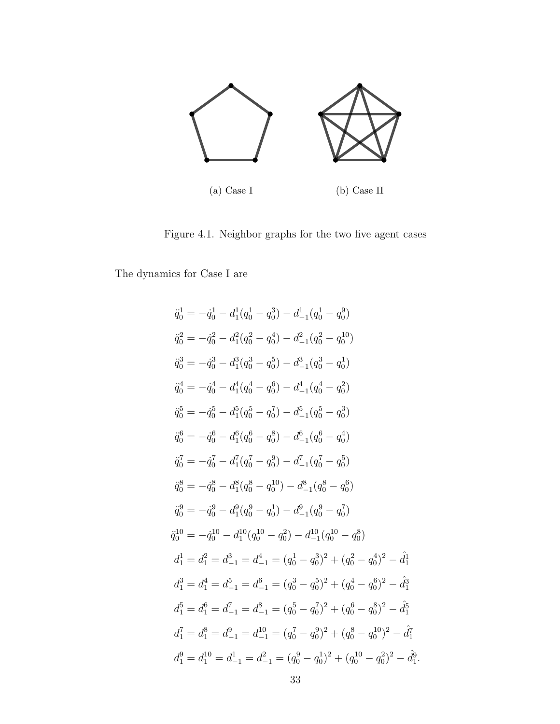<span id="page-44-0"></span>

Figure 4.1. Neighbor graphs for the two five agent cases

The dynamics for Case I are

$$
\ddot{q}_0^1 = -\dot{q}_0^1 - d_1^1(q_0^1 - q_0^3) - d_{-1}^1(q_0^1 - q_0^9)
$$
\n
$$
\ddot{q}_0^2 = -\dot{q}_0^2 - d_1^2(q_0^2 - q_0^4) - d_{-1}^2(q_0^2 - q_0^{10})
$$
\n
$$
\ddot{q}_0^3 = -\dot{q}_0^3 - d_1^3(q_0^3 - q_0^5) - d_{-1}^3(q_0^3 - q_0^1)
$$
\n
$$
\ddot{q}_0^4 = -\dot{q}_0^4 - d_1^4(q_0^4 - q_0^6) - d_{-1}^4(q_0^4 - q_0^2)
$$
\n
$$
\ddot{q}_0^5 = -\dot{q}_0^5 - d_1^5(q_0^5 - q_0^7) - d_{-1}^5(q_0^5 - q_0^3)
$$
\n
$$
\ddot{q}_0^6 = -\dot{q}_0^6 - d_1^6(q_0^6 - q_0^8) - d_{-1}^6(q_0^6 - q_0^4)
$$
\n
$$
\ddot{q}_0^7 = -\dot{q}_0^7 - d_1^7(q_0^7 - q_0^9) - d_{-1}^7(q_0^7 - q_0^5)
$$
\n
$$
\ddot{q}_0^8 = -\dot{q}_0^8 - d_1^8(q_0^8 - q_0^{10}) - d_{-1}^8(q_0^8 - q_0^6)
$$
\n
$$
\ddot{q}_0^9 = -\dot{q}_0^9 - d_1^9(q_0^9 - q_0^1) - d_{-1}^9(q_0^9 - q_0^7)
$$
\n
$$
\ddot{q}_1^{10} = -\dot{q}_0^{10} - d_1^{10}(q_0^{10} - q_0^2) - d_{-1}^{10}(q_0^{10} - q_0^8)
$$
\n
$$
d_1^1 = d_1^2 = d_{-1}^3 = d_{-1}^4 = (q_0^1 - q_0^3)^2 + (q_0^2 - q_0^4)^2 - \dot{d}_1^3
$$
\n
$$
d_1^5 = d_1^4 = d_{-1}^
$$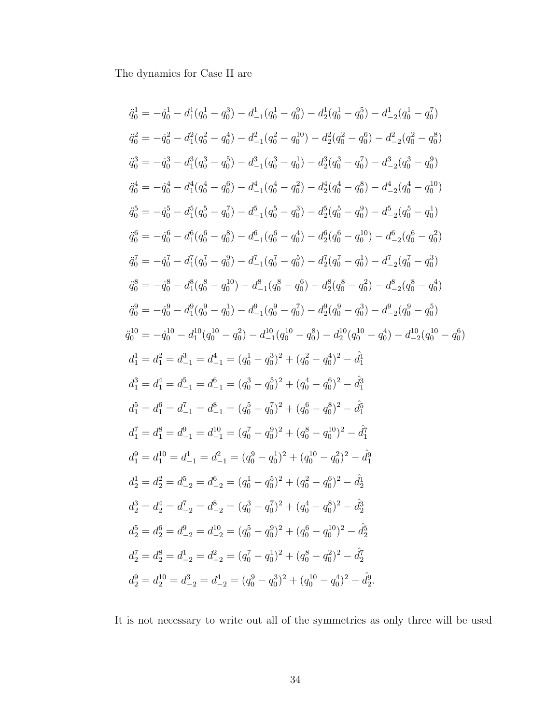The dynamics for Case II are

$$
\ddot{q}_0^1 = -\dot{q}_0^1 - d_1^1(q_0^1 - q_0^3) - d_{-1}^1(q_0^1 - q_0^0) - d_2^1(q_0^1 - q_0^5) - d_{-2}^1(q_0^1 - q_0^7)
$$
\n
$$
\ddot{q}_0^2 = -\dot{q}_0^2 - d_1^2(q_0^2 - q_0^4) - d_{-1}^2(q_0^2 - q_0^1) - d_2^2(q_0^2 - q_0^6) - d_{-2}^2(q_0^2 - q_0^8)
$$
\n
$$
\ddot{q}_0^3 = -\dot{q}_0^3 - d_1^3(q_0^3 - q_0^5) - d_{-1}^3(q_0^3 - q_0^1) - d_2^3(q_0^3 - q_0^7) - d_{-2}^3(q_0^3 - q_0^9)
$$
\n
$$
\ddot{q}_0^4 = -\dot{q}_0^4 - d_1^4(q_0^4 - q_0^6) - d_{-1}^4(q_0^4 - q_0^2) - d_2^4(q_0^4 - q_0^5) - d_{-2}^4(q_0^4 - q_0^{10})
$$
\n
$$
\ddot{q}_0^5 = -\dot{q}_0^5 - d_1^5(q_0^5 - q_0^7) - d_{-1}^5(q_0^5 - q_0^3) - d_2^5(q_0^5 - q_0^0) - d_{-2}^5(q_0^5 - q_0^1)
$$
\n
$$
\ddot{q}_0^6 = -\dot{q}_0^6 - d_1^6(q_0^6 - q_0^8) - d_{-1}^6(q_0^6 - q_0^4) - d_2^6(q_0^6 - q_0^1) - d_{-2}^7(q_0^7 - q_0^1)
$$
\n
$$
\ddot{q}_0^7 = -\dot{q}_0^7 - d_1^7(q_0^7 - q_0^9) - d_{-1}^7(q_0^7 - q_0^5) - d_2^7(q_0^7 - q_0^1) - d_{-2}^7(q_0^7 - q_0^3)
$$
\n
$$
\ddot{q}_0^8 = -\dot{q}_0^8 - d_1^8(q_0^8 - q_0^{10
$$

It is not necessary to write out all of the symmetries as only three will be used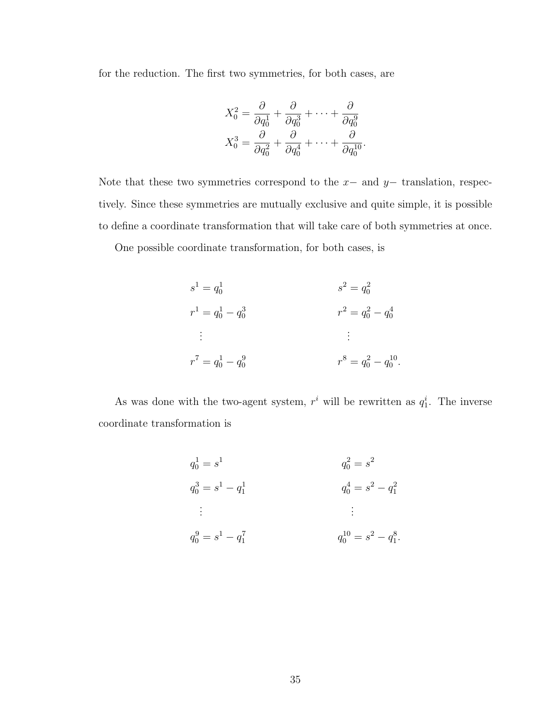for the reduction. The first two symmetries, for both cases, are

$$
X_0^2 = \frac{\partial}{\partial q_0^1} + \frac{\partial}{\partial q_0^3} + \dots + \frac{\partial}{\partial q_0^9}
$$
  

$$
X_0^3 = \frac{\partial}{\partial q_0^2} + \frac{\partial}{\partial q_0^4} + \dots + \frac{\partial}{\partial q_0^{10}}.
$$

Note that these two symmetries correspond to the  $x-$  and  $y-$  translation, respectively. Since these symmetries are mutually exclusive and quite simple, it is possible to define a coordinate transformation that will take care of both symmetries at once.

One possible coordinate transformation, for both cases, is

$$
s^{1} = q_{0}^{1}
$$
  
\n
$$
s^{2} = q_{0}^{2}
$$
  
\n
$$
r^{1} = q_{0}^{1} - q_{0}^{3}
$$
  
\n
$$
r^{2} = q_{0}^{2} - q_{0}^{4}
$$
  
\n
$$
\vdots
$$
  
\n
$$
r^{7} = q_{0}^{1} - q_{0}^{9}
$$
  
\n
$$
r^{8} = q_{0}^{2} - q_{0}^{10}
$$

As was done with the two-agent system,  $r^i$  will be rewritten as  $q_1^i$ . The inverse coordinate transformation is

$$
q_0^1 = s^1
$$
  
\n
$$
q_0^3 = s^1 - q_1^1
$$
  
\n
$$
\vdots
$$
  
\n
$$
q_0^9 = s^1 - q_1^7
$$
  
\n
$$
\vdots
$$
  
\n
$$
q_0^{10} = s^2 - q_1^2
$$
  
\n
$$
\vdots
$$
  
\n
$$
q_0^{10} = s^2 - q_1^8
$$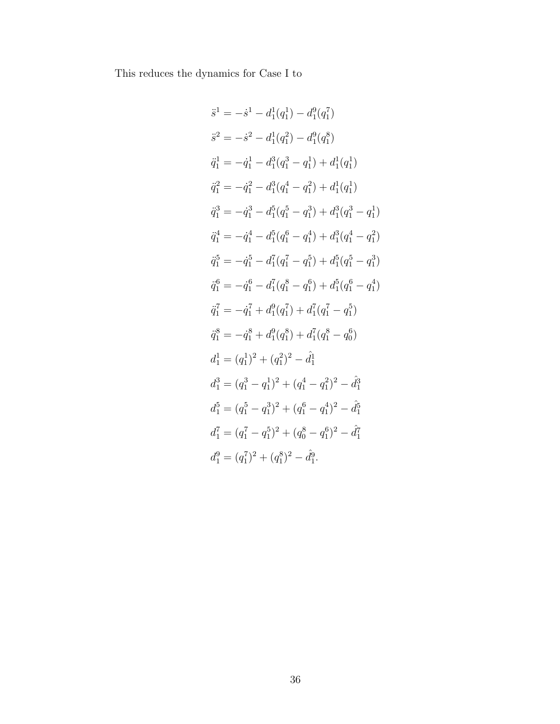This reduces the dynamics for Case I to

$$
\begin{aligned}\n\ddot{s}^{1} &= -\dot{s}^{1} - d_{1}^{1}(q_{1}^{1}) - d_{1}^{9}(q_{1}^{7}) \\
\ddot{s}^{2} &= -\dot{s}^{2} - d_{1}^{1}(q_{1}^{2}) - d_{1}^{9}(q_{1}^{8}) \\
\ddot{q}_{1}^{1} &= -\dot{q}_{1}^{1} - d_{1}^{3}(q_{1}^{3} - q_{1}^{1}) + d_{1}^{1}(q_{1}^{1}) \\
\ddot{q}_{1}^{2} &= -\dot{q}_{1}^{2} - d_{1}^{3}(q_{1}^{4} - q_{1}^{2}) + d_{1}^{1}(q_{1}^{1}) \\
\ddot{q}_{1}^{3} &= -\dot{q}_{1}^{3} - d_{1}^{5}(q_{1}^{5} - q_{1}^{3}) + d_{1}^{3}(q_{1}^{3} - q_{1}^{1}) \\
\ddot{q}_{1}^{4} &= -\dot{q}_{1}^{4} - d_{1}^{5}(q_{1}^{6} - q_{1}^{4}) + d_{1}^{3}(q_{1}^{4} - q_{1}^{2}) \\
\ddot{q}_{1}^{5} &= -\dot{q}_{1}^{5} - d_{1}^{7}(q_{1}^{7} - q_{1}^{5}) + d_{1}^{5}(q_{1}^{5} - q_{1}^{3}) \\
\ddot{q}_{1}^{6} &= -\dot{q}_{1}^{6} - d_{1}^{7}(q_{1}^{8} - q_{1}^{6}) + d_{1}^{7}(q_{1}^{6} - q_{1}^{4}) \\
\ddot{q}_{1}^{7} &= -\dot{q}_{1}^{7} + d_{1}^{9}(q_{1}^{7}) + d_{1}^{7}(q_{1}^{7} - q_{1}^{5}) \\
\ddot{q}_{1}^{8} &= -\dot{q}_{1}^{8} + d_{1}^{9}(q_{1}^{8}) + d_{1}^{7}(q_{1}^{8} - q_{0}^{6}) \\
d_{1}^{1} &= (q_{1}^{1})^{2} + (q_{1}^{2})^{2} - \dot{d}_{1}^{1} \\
d_{1}^{3} &= (q_{1}^{3} - q_{1}^{1})^{2} + (q_{1}^{4} - q_{1}^{2})^{2} - \dot{d}_{1}^{3} \\
d_{1}^{7} &= (q_{1}^{7} - q_{1}^{5})^{2} +
$$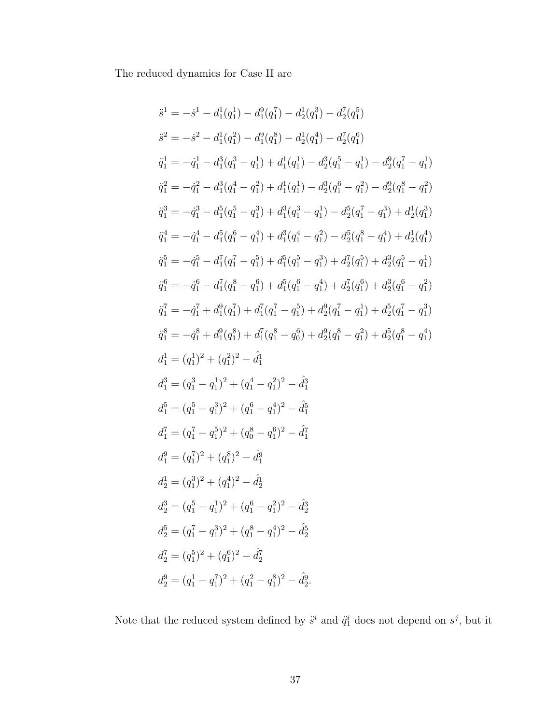The reduced dynamics for Case II are

$$
\begin{aligned}\n\ddot{s}^{1} &= -\dot{s}^{1} - d_{1}^{1}(q_{1}^{1}) - d_{1}^{0}(q_{1}^{7}) - d_{2}^{1}(q_{1}^{3}) - d_{2}^{7}(q_{1}^{5}) \\
\ddot{s}^{2} &= -\dot{s}^{2} - d_{1}^{1}(q_{1}^{2}) - d_{1}^{0}(q_{1}^{8}) - d_{2}^{1}(q_{1}^{4}) - d_{2}^{7}(q_{1}^{6}) \\
\ddot{q}_{1}^{1} &= -\dot{q}_{1}^{1} - d_{1}^{3}(q_{1}^{3} - q_{1}^{1}) + d_{1}^{1}(q_{1}^{1}) - d_{2}^{3}(q_{1}^{5} - q_{1}^{1}) - d_{2}^{9}(q_{1}^{7} - q_{1}^{1}) \\
\ddot{q}_{1}^{2} &= -\dot{q}_{1}^{2} - d_{1}^{3}(q_{1}^{4} - q_{1}^{2}) + d_{1}^{1}(q_{1}^{1}) - d_{2}^{3}(q_{1}^{6} - q_{1}^{2}) - d_{2}^{6}(q_{1}^{8} - q_{1}^{2}) \\
\ddot{q}_{1}^{3} &= -\dot{q}_{1}^{3} - d_{1}^{5}(q_{1}^{5} - q_{1}^{3}) + d_{1}^{3}(q_{1}^{3} - q_{1}^{1}) - d_{2}^{5}(q_{1}^{7} - q_{1}^{3}) + d_{2}^{1}(q_{1}^{3}) \\
\ddot{q}_{1}^{4} &= -\dot{q}_{1}^{4} - d_{1}^{5}(q_{1}^{6} - q_{1}^{4}) + d_{1}^{3}(q_{1}^{4} - q_{1}^{2}) - d_{2}^{5}(q_{1}^{8} - q_{1}^{4}) + d_{2}^{1}(q_{1}^{6}) \\
\ddot{q}_{1}^{5} &= -\dot{q}_{1}^{5} - d_{1}^{7}(q_{1}^{7} - q_{1}^{5}) + d_{1}^{5}(q_{1}^{6} - q_{1}^{3}) + d_{2}^{7}(q_{1}^{6} - q_{1}^{4}) + d_{2}^{5}(q_{1}^{6} - q_{1}^{1}) \\
\ddot{q}_{1}^{6} &= -\dot{q}_{1}^{6} - d_{1}^{7}(q_{1}^{8} - q_{1}^{6}) + d_{1
$$

Note that the reduced system defined by  $\ddot{s}^i$  and  $\ddot{q}_1^i$  does not depend on  $s^j$ , but it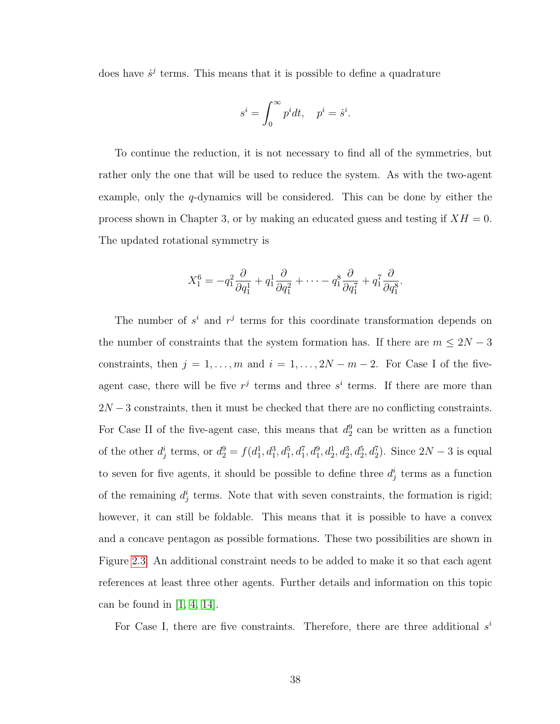does have  $\dot{s}^j$  terms. This means that it is possible to define a quadrature

$$
s^i = \int_0^\infty p^i dt, \quad p^i = \dot{s}^i.
$$

To continue the reduction, it is not necessary to find all of the symmetries, but rather only the one that will be used to reduce the system. As with the two-agent example, only the q-dynamics will be considered. This can be done by either the process shown in Chapter 3, or by making an educated guess and testing if  $XH = 0$ . The updated rotational symmetry is

$$
X_1^6 = -q_1^2 \frac{\partial}{\partial q_1^1} + q_1^1 \frac{\partial}{\partial q_1^2} + \cdots - q_1^8 \frac{\partial}{\partial q_1^7} + q_1^7 \frac{\partial}{\partial q_1^8}.
$$

The number of  $s^i$  and  $r^j$  terms for this coordinate transformation depends on the number of constraints that the system formation has. If there are  $m \leq 2N - 3$ constraints, then  $j = 1, ..., m$  and  $i = 1, ..., 2N - m - 2$ . For Case I of the fiveagent case, there will be five  $r^j$  terms and three  $s^i$  terms. If there are more than  $2N-3$  constraints, then it must be checked that there are no conflicting constraints. For Case II of the five-agent case, this means that  $d_2^9$  can be written as a function of the other  $d_j^i$  terms, or  $d_2^9 = f(d_1^1, d_1^3, d_1^5, d_1^7, d_1^9, d_2^1, d_2^3, d_2^5, d_2^7)$ . Since  $2N-3$  is equal to seven for five agents, it should be possible to define three  $d_j^i$  terms as a function of the remaining  $d_j^i$  terms. Note that with seven constraints, the formation is rigid; however, it can still be foldable. This means that it is possible to have a convex and a concave pentagon as possible formations. These two possibilities are shown in Figure [2.3.](#page-17-1) An additional constraint needs to be added to make it so that each agent references at least three other agents. Further details and information on this topic can be found in  $\vert 1, 4, 14 \vert$  $\vert 1, 4, 14 \vert$  $\vert 1, 4, 14 \vert$ .

For Case I, there are five constraints. Therefore, there are three additional  $s^i$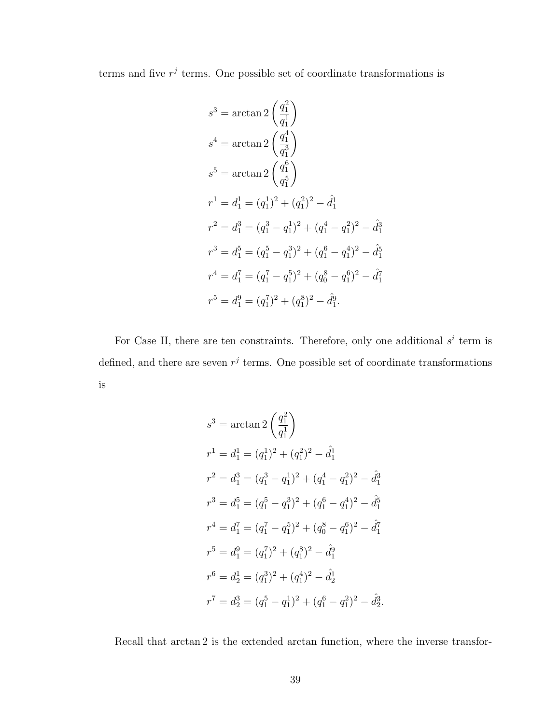terms and five  $r^j$  terms. One possible set of coordinate transformations is

$$
s^3 = \arctan 2 \left(\frac{q_1^2}{q_1^1}\right)
$$
  
\n
$$
s^4 = \arctan 2 \left(\frac{q_1^4}{q_1^3}\right)
$$
  
\n
$$
s^5 = \arctan 2 \left(\frac{q_1^6}{q_1^5}\right)
$$
  
\n
$$
r^1 = d_1^1 = (q_1^1)^2 + (q_1^2)^2 - \hat{d}_1^1
$$
  
\n
$$
r^2 = d_1^3 = (q_1^3 - q_1^1)^2 + (q_1^4 - q_1^2)^2 - \hat{d}_1^3
$$
  
\n
$$
r^3 = d_1^5 = (q_1^5 - q_1^3)^2 + (q_1^6 - q_1^4)^2 - \hat{d}_1^5
$$
  
\n
$$
r^4 = d_1^7 = (q_1^7 - q_1^5)^2 + (q_0^8 - q_1^6)^2 - \hat{d}_1^7
$$
  
\n
$$
r^5 = d_1^9 = (q_1^7)^2 + (q_1^8)^2 - \hat{d}_1^9.
$$

For Case II, there are ten constraints. Therefore, only one additional  $s^i$  term is defined, and there are seven  $r^j$  terms. One possible set of coordinate transformations is

$$
s^3 = \arctan 2 \left(\frac{q_1^2}{q_1^1}\right)
$$
  
\n
$$
r^1 = d_1^1 = (q_1^1)^2 + (q_1^2)^2 - \hat{d}_1^1
$$
  
\n
$$
r^2 = d_1^3 = (q_1^3 - q_1^1)^2 + (q_1^4 - q_1^2)^2 - \hat{d}_1^3
$$
  
\n
$$
r^3 = d_1^5 = (q_1^5 - q_1^3)^2 + (q_1^6 - q_1^4)^2 - \hat{d}_1^5
$$
  
\n
$$
r^4 = d_1^7 = (q_1^7 - q_1^5)^2 + (q_0^8 - q_1^6)^2 - \hat{d}_1^7
$$
  
\n
$$
r^5 = d_1^9 = (q_1^7)^2 + (q_1^8)^2 - \hat{d}_1^9
$$
  
\n
$$
r^6 = d_2^1 = (q_1^3)^2 + (q_1^4)^2 - \hat{d}_2^1
$$
  
\n
$$
r^7 = d_2^3 = (q_1^5 - q_1^1)^2 + (q_1^6 - q_1^2)^2 - \hat{d}_2^3.
$$

Recall that arctan 2 is the extended arctan function, where the inverse transfor-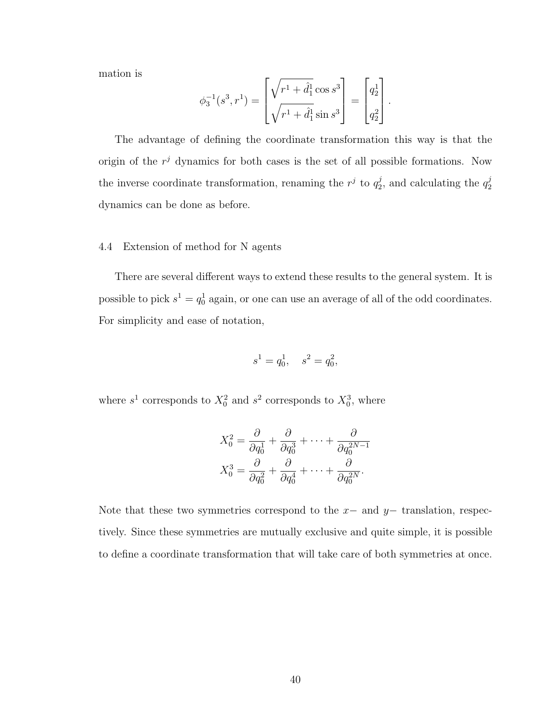mation is

$$
\phi_3^{-1}(s^3, r^1) = \begin{bmatrix} \sqrt{r^1 + \hat{d}_1^1} \cos s^3 \\ \sqrt{r^1 + \hat{d}_1^1} \sin s^3 \end{bmatrix} = \begin{bmatrix} q_2^1 \\ q_2^2 \end{bmatrix}.
$$

The advantage of defining the coordinate transformation this way is that the origin of the  $r<sup>j</sup>$  dynamics for both cases is the set of all possible formations. Now the inverse coordinate transformation, renaming the  $r^j$  to  $q_2^j$  $i_2^j$ , and calculating the  $q_2^j$ 2 dynamics can be done as before.

## <span id="page-51-0"></span>4.4 Extension of method for N agents

There are several different ways to extend these results to the general system. It is possible to pick  $s^1 = q_0^1$  again, or one can use an average of all of the odd coordinates. For simplicity and ease of notation,

$$
s^1 = q_0^1, \quad s^2 = q_0^2,
$$

where  $s^1$  corresponds to  $X_0^2$  and  $s^2$  corresponds to  $X_0^3$ , where

$$
X_0^2 = \frac{\partial}{\partial q_0^1} + \frac{\partial}{\partial q_0^3} + \dots + \frac{\partial}{\partial q_0^{2N-1}}
$$

$$
X_0^3 = \frac{\partial}{\partial q_0^2} + \frac{\partial}{\partial q_0^4} + \dots + \frac{\partial}{\partial q_0^{2N}}.
$$

Note that these two symmetries correspond to the  $x-$  and  $y-$  translation, respectively. Since these symmetries are mutually exclusive and quite simple, it is possible to define a coordinate transformation that will take care of both symmetries at once.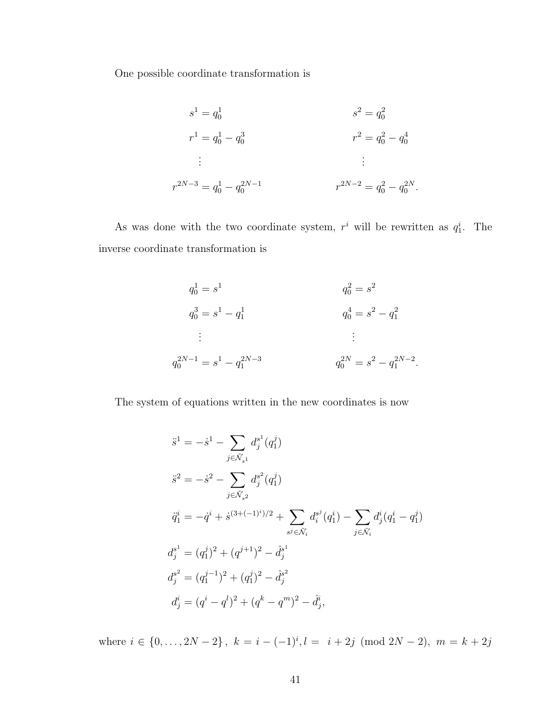One possible coordinate transformation is

$$
s^{1} = q_{0}^{1}
$$
  
\n
$$
s^{2} = q_{0}^{2}
$$
  
\n
$$
r^{1} = q_{0}^{1} - q_{0}^{3}
$$
  
\n
$$
\vdots
$$
  
\n
$$
r^{2N-3} = q_{0}^{1} - q_{0}^{2N-1}
$$
  
\n
$$
r^{2N-2} = q_{0}^{2} - q_{0}^{2N}.
$$

As was done with the two coordinate system,  $r^i$  will be rewritten as  $q_1^i$ . The inverse coordinate transformation is

$$
q_0^1 = s^1
$$
  
\n
$$
q_0^3 = s^1 - q_1^1
$$
  
\n
$$
\vdots
$$
  
\n
$$
q_0^{30} = s^2 - q_1^2
$$
  
\n
$$
\vdots
$$
  
\n
$$
q_0^{2N-1} = s^1 - q_1^{2N-3}
$$
  
\n
$$
q_0^{2N} = s^2 - q_1^{2N-2}
$$

The system of equations written in the new coordinates is now

$$
\begin{aligned}\n\ddot{s}^1 &= -\dot{s}^1 - \sum_{j \in \tilde{\mathcal{N}}_{s^1}} d_j^{s^1}(q_1^j) \\
\ddot{s}^2 &= -\dot{s}^2 - \sum_{j \in \tilde{\mathcal{N}}_{s^2}} d_j^{s^2}(q_1^j) \\
\ddot{q}_1^i &= -\dot{q}^i + \dot{s}^{(3+(-1)^i)/2} + \sum_{s^j \in \tilde{\mathcal{N}}_i} d_i^{s^j}(q_1^i) - \sum_{j \in \tilde{\mathcal{N}}_i} d_j^i(q_1^i - q_1^j) \\
d_j^{s^1} &= (q_1^j)^2 + (q^{j+1})^2 - \hat{d}_j^{s^1} \\
d_j^{s^2} &= (q_1^{j-1})^2 + (q_1^j)^2 - \hat{d}_j^{s^2} \\
d_j^i &= (q^i - q^l)^2 + (q^k - q^m)^2 - \hat{d}_j^i,\n\end{aligned}
$$

where  $i \in \{0, \ldots, 2N-2\}$ ,  $k = i - (-1)^i$ ,  $l = i + 2j \pmod{2N-2}$ ,  $m = k + 2j$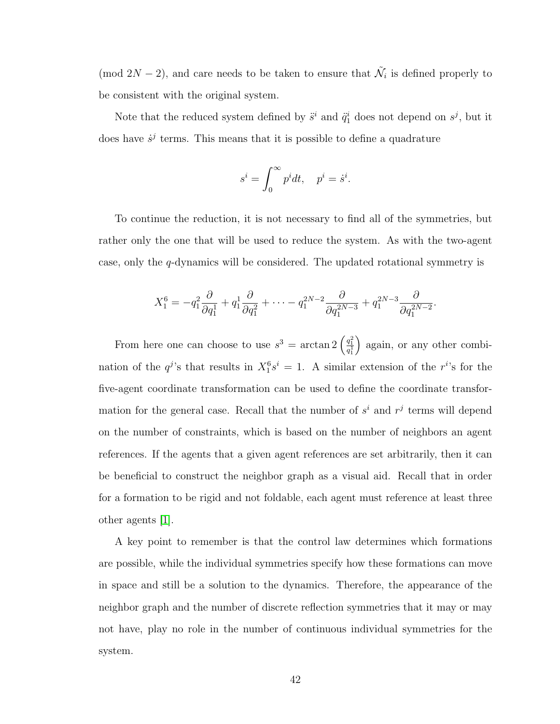(mod  $2N-2$ ), and care needs to be taken to ensure that  $\tilde{\mathcal{N}}_i$  is defined properly to be consistent with the original system.

Note that the reduced system defined by  $\ddot{s}^i$  and  $\ddot{q}_1^i$  does not depend on  $s^j$ , but it does have  $\dot{s}^j$  terms. This means that it is possible to define a quadrature

$$
s^i = \int_0^\infty p^i dt, \quad p^i = \dot{s}^i.
$$

To continue the reduction, it is not necessary to find all of the symmetries, but rather only the one that will be used to reduce the system. As with the two-agent case, only the q-dynamics will be considered. The updated rotational symmetry is

$$
X_1^6 = -q_1^2 \frac{\partial}{\partial q_1^1} + q_1^1 \frac{\partial}{\partial q_1^2} + \cdots - q_1^{2N-2} \frac{\partial}{\partial q_1^{2N-3}} + q_1^{2N-3} \frac{\partial}{\partial q_1^{2N-2}}.
$$

From here one can choose to use  $s^3 = \arctan 2 \left( \frac{q_1^2}{q_1^1} \right)$  again, or any other combination of the  $q^{j}$ 's that results in  $X_1^6 s^i = 1$ . A similar extension of the r<sup>i</sup>'s for the five-agent coordinate transformation can be used to define the coordinate transformation for the general case. Recall that the number of  $s^i$  and  $r^j$  terms will depend on the number of constraints, which is based on the number of neighbors an agent references. If the agents that a given agent references are set arbitrarily, then it can be beneficial to construct the neighbor graph as a visual aid. Recall that in order for a formation to be rigid and not foldable, each agent must reference at least three other agents [\[1\]](#page-66-9).

A key point to remember is that the control law determines which formations are possible, while the individual symmetries specify how these formations can move in space and still be a solution to the dynamics. Therefore, the appearance of the neighbor graph and the number of discrete reflection symmetries that it may or may not have, play no role in the number of continuous individual symmetries for the system.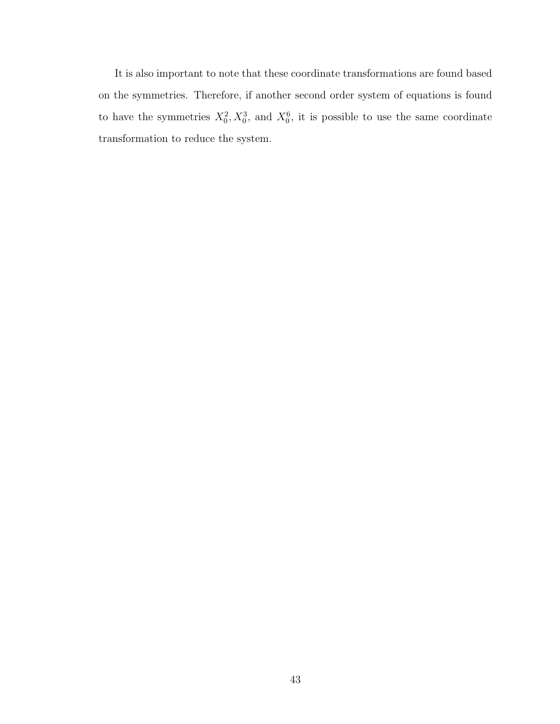It is also important to note that these coordinate transformations are found based on the symmetries. Therefore, if another second order system of equations is found to have the symmetries  $X_0^2, X_0^3$ , and  $X_0^6$ , it is possible to use the same coordinate transformation to reduce the system.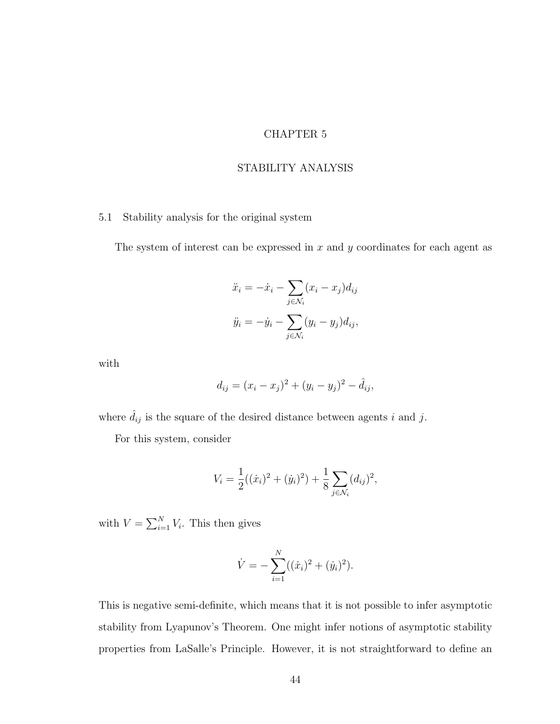## CHAPTER 5

## STABILITY ANALYSIS

## <span id="page-55-1"></span><span id="page-55-0"></span>5.1 Stability analysis for the original system

The system of interest can be expressed in  $x$  and  $y$  coordinates for each agent as

$$
\ddot{x}_i = -\dot{x}_i - \sum_{j \in \mathcal{N}_i} (x_i - x_j) d_{ij}
$$

$$
\ddot{y}_i = -\dot{y}_i - \sum_{j \in \mathcal{N}_i} (y_i - y_j) d_{ij},
$$

with

$$
d_{ij} = (x_i - x_j)^2 + (y_i - y_j)^2 - \hat{d}_{ij},
$$

where  $\hat{d}_{ij}$  is the square of the desired distance between agents i and j.

For this system, consider

$$
V_i = \frac{1}{2}((\dot{x}_i)^2 + (\dot{y}_i)^2) + \frac{1}{8} \sum_{j \in \mathcal{N}_i} (d_{ij})^2,
$$

with  $V = \sum_{i=1}^{N} V_i$ . This then gives

$$
\dot{V} = -\sum_{i=1}^{N} ((\dot{x}_i)^2 + (\dot{y}_i)^2).
$$

This is negative semi-definite, which means that it is not possible to infer asymptotic stability from Lyapunov's Theorem. One might infer notions of asymptotic stability properties from LaSalle's Principle. However, it is not straightforward to define an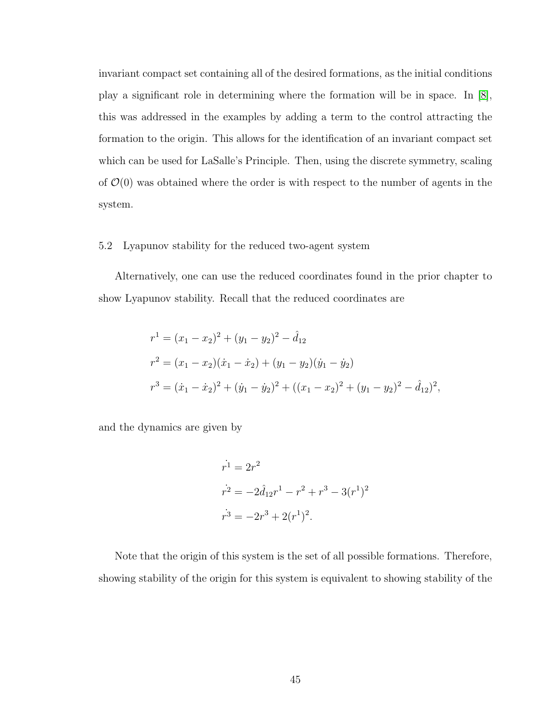invariant compact set containing all of the desired formations, as the initial conditions play a significant role in determining where the formation will be in space. In [\[8\]](#page-66-11), this was addressed in the examples by adding a term to the control attracting the formation to the origin. This allows for the identification of an invariant compact set which can be used for LaSalle's Principle. Then, using the discrete symmetry, scaling of  $\mathcal{O}(0)$  was obtained where the order is with respect to the number of agents in the system.

#### <span id="page-56-0"></span>5.2 Lyapunov stability for the reduced two-agent system

Alternatively, one can use the reduced coordinates found in the prior chapter to show Lyapunov stability. Recall that the reduced coordinates are

$$
r^{1} = (x_{1} - x_{2})^{2} + (y_{1} - y_{2})^{2} - \hat{d}_{12}
$$
  
\n
$$
r^{2} = (x_{1} - x_{2})(\dot{x}_{1} - \dot{x}_{2}) + (y_{1} - y_{2})(\dot{y}_{1} - \dot{y}_{2})
$$
  
\n
$$
r^{3} = (\dot{x}_{1} - \dot{x}_{2})^{2} + (\dot{y}_{1} - \dot{y}_{2})^{2} + ((x_{1} - x_{2})^{2} + (y_{1} - y_{2})^{2} - \hat{d}_{12})^{2},
$$

and the dynamics are given by

$$
r^{1} = 2r^{2}
$$
  
\n
$$
r^{2} = -2\hat{d}_{12}r^{1} - r^{2} + r^{3} - 3(r^{1})^{2}
$$
  
\n
$$
r^{3} = -2r^{3} + 2(r^{1})^{2}.
$$

Note that the origin of this system is the set of all possible formations. Therefore, showing stability of the origin for this system is equivalent to showing stability of the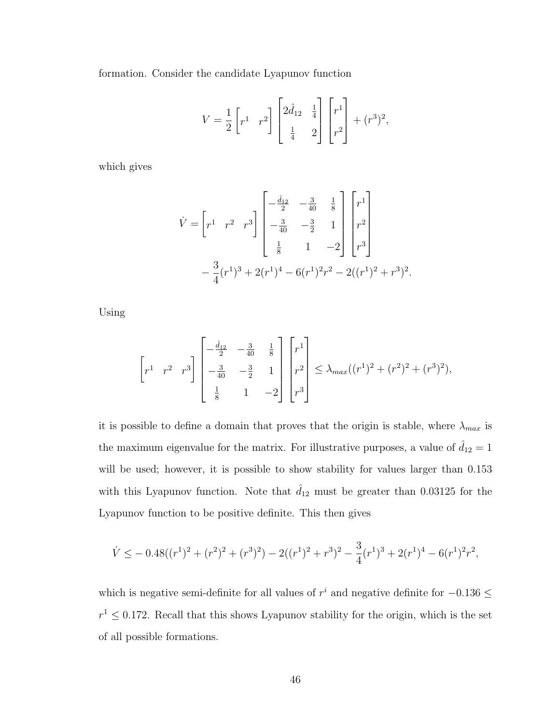formation. Consider the candidate Lyapunov function

$$
V = \frac{1}{2} \begin{bmatrix} r^1 & r^2 \end{bmatrix} \begin{bmatrix} 2\hat{d}_{12} & \frac{1}{4} \\ \frac{1}{4} & 2 \end{bmatrix} \begin{bmatrix} r^1 \\ r^2 \end{bmatrix} + (r^3)^2,
$$

which gives

$$
\dot{V} = \begin{bmatrix} r^1 & r^2 & r^3 \end{bmatrix} \begin{bmatrix} -\frac{\dot{d}_{12}}{2} & -\frac{3}{40} & \frac{1}{8} \\ -\frac{3}{40} & -\frac{3}{2} & 1 \\ \frac{1}{8} & 1 & -2 \end{bmatrix} \begin{bmatrix} r^1 \\ r^2 \\ r^3 \end{bmatrix}
$$

$$
- \frac{3}{4} (r^1)^3 + 2(r^1)^4 - 6(r^1)^2 r^2 - 2((r^1)^2 + r^3)^2.
$$

Using

$$
\begin{bmatrix} r^1 & r^2 & r^3 \end{bmatrix} \begin{bmatrix} -\frac{\hat{d}_{12}}{2} & -\frac{3}{40} & \frac{1}{8} \\ -\frac{3}{40} & -\frac{3}{2} & 1 \\ \frac{1}{8} & 1 & -2 \end{bmatrix} \begin{bmatrix} r^1 \\ r^2 \\ r^3 \end{bmatrix} \leq \lambda_{max} ((r^1)^2 + (r^2)^2 + (r^3)^2),
$$

it is possible to define a domain that proves that the origin is stable, where  $\lambda_{max}$  is the maximum eigenvalue for the matrix. For illustrative purposes, a value of  $d_{12} = 1$ will be used; however, it is possible to show stability for values larger than 0.153 with this Lyapunov function. Note that  $\hat{d}_{12}$  must be greater than 0.03125 for the Lyapunov function to be positive definite. This then gives

$$
\dot{V} \le -0.48((r^1)^2 + (r^2)^2 + (r^3)^2) - 2((r^1)^2 + r^3)^2 - \frac{3}{4}(r^1)^3 + 2(r^1)^4 - 6(r^1)^2r^2,
$$

which is negative semi-definite for all values of  $r^i$  and negative definite for  $-0.136$  ≤  $r^1 \leq 0.172$ . Recall that this shows Lyapunov stability for the origin, which is the set of all possible formations.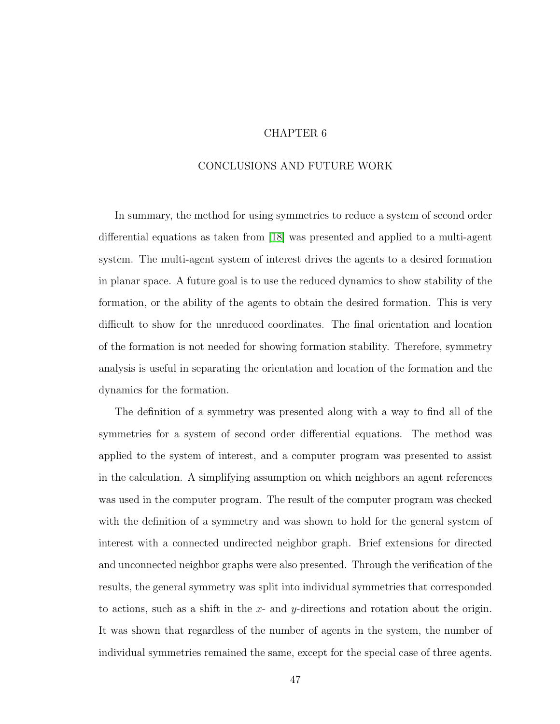## CHAPTER 6

## <span id="page-58-0"></span>CONCLUSIONS AND FUTURE WORK

In summary, the method for using symmetries to reduce a system of second order differential equations as taken from [\[18\]](#page-67-5) was presented and applied to a multi-agent system. The multi-agent system of interest drives the agents to a desired formation in planar space. A future goal is to use the reduced dynamics to show stability of the formation, or the ability of the agents to obtain the desired formation. This is very difficult to show for the unreduced coordinates. The final orientation and location of the formation is not needed for showing formation stability. Therefore, symmetry analysis is useful in separating the orientation and location of the formation and the dynamics for the formation.

The definition of a symmetry was presented along with a way to find all of the symmetries for a system of second order differential equations. The method was applied to the system of interest, and a computer program was presented to assist in the calculation. A simplifying assumption on which neighbors an agent references was used in the computer program. The result of the computer program was checked with the definition of a symmetry and was shown to hold for the general system of interest with a connected undirected neighbor graph. Brief extensions for directed and unconnected neighbor graphs were also presented. Through the verification of the results, the general symmetry was split into individual symmetries that corresponded to actions, such as a shift in the  $x$ - and  $y$ -directions and rotation about the origin. It was shown that regardless of the number of agents in the system, the number of individual symmetries remained the same, except for the special case of three agents.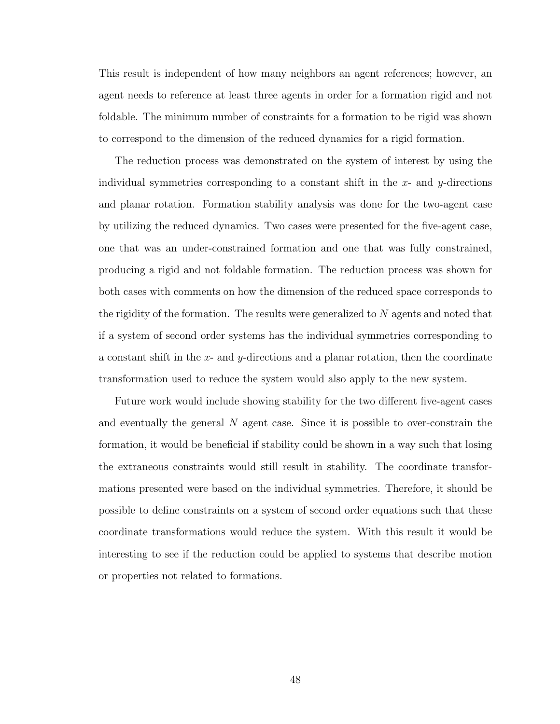This result is independent of how many neighbors an agent references; however, an agent needs to reference at least three agents in order for a formation rigid and not foldable. The minimum number of constraints for a formation to be rigid was shown to correspond to the dimension of the reduced dynamics for a rigid formation.

The reduction process was demonstrated on the system of interest by using the individual symmetries corresponding to a constant shift in the  $x$ - and  $y$ -directions and planar rotation. Formation stability analysis was done for the two-agent case by utilizing the reduced dynamics. Two cases were presented for the five-agent case, one that was an under-constrained formation and one that was fully constrained, producing a rigid and not foldable formation. The reduction process was shown for both cases with comments on how the dimension of the reduced space corresponds to the rigidity of the formation. The results were generalized to  $N$  agents and noted that if a system of second order systems has the individual symmetries corresponding to a constant shift in the x- and y-directions and a planar rotation, then the coordinate transformation used to reduce the system would also apply to the new system.

Future work would include showing stability for the two different five-agent cases and eventually the general  $N$  agent case. Since it is possible to over-constrain the formation, it would be beneficial if stability could be shown in a way such that losing the extraneous constraints would still result in stability. The coordinate transformations presented were based on the individual symmetries. Therefore, it should be possible to define constraints on a system of second order equations such that these coordinate transformations would reduce the system. With this result it would be interesting to see if the reduction could be applied to systems that describe motion or properties not related to formations.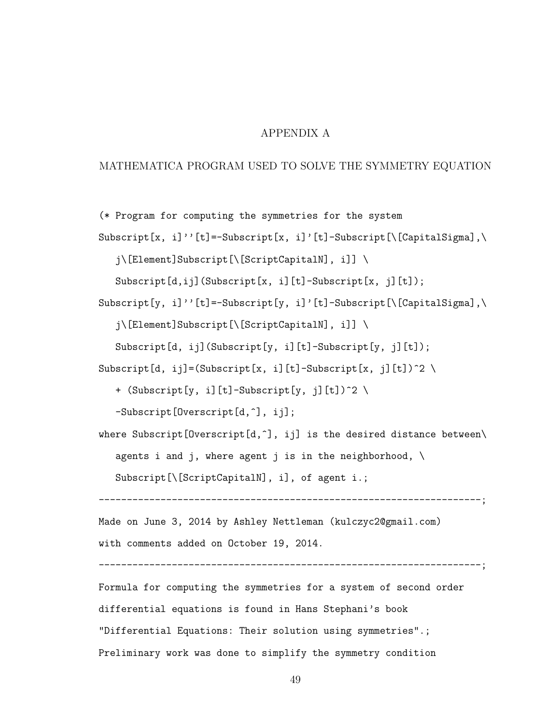## APPENDIX A

## <span id="page-60-0"></span>MATHEMATICA PROGRAM USED TO SOLVE THE SYMMETRY EQUATION

(\* Program for computing the symmetries for the system Subscript[x, i]''[t]=-Subscript[x, i]'[t]-Subscript[\[CapitalSigma],\ j\[Element]Subscript[\[ScriptCapitalN], i]] \ Subscript[d,ij](Subscript[x, i][t]-Subscript[x, j][t]); Subscript[y, i]''[t]=-Subscript[y, i]'[t]-Subscript[\[CapitalSigma],\ j\[Element]Subscript[\[ScriptCapitalN], i]] \

Subscript[d, ij](Subscript[y, i][t]-Subscript[y, j][t]);

Subscript[d, ij]=(Subscript[x, i][t]-Subscript[x, j][t])^2 \

+ (Subscript[y, i][t]-Subscript[y, j][t])^2 \

-Subscript[Overscript[d,^], ij];

where Subscript[Overscript[d,^], ij] is the desired distance between\

agents i and j, where agent j is in the neighborhood,  $\setminus$ 

Subscript[\[ScriptCapitalN], i], of agent i.;

--------------------------------------------------------------------;

Made on June 3, 2014 by Ashley Nettleman (kulczyc2@gmail.com) with comments added on October 19, 2014.

--------------------------------------------------------------------;

Formula for computing the symmetries for a system of second order differential equations is found in Hans Stephani's book "Differential Equations: Their solution using symmetries".; Preliminary work was done to simplify the symmetry condition

49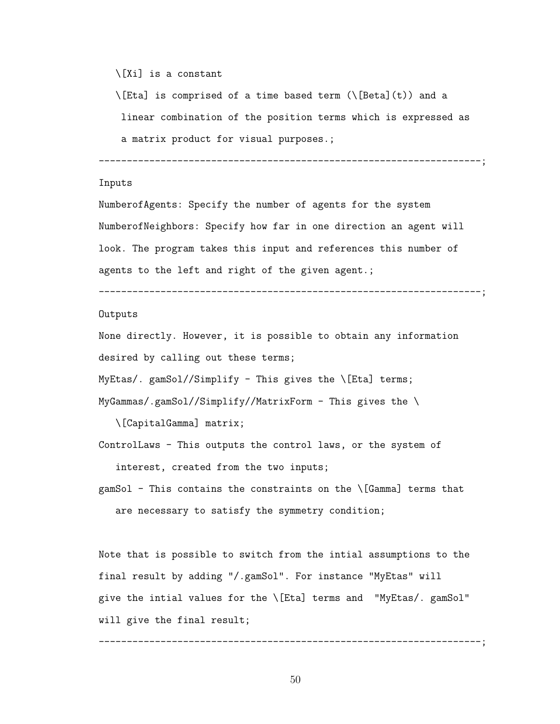```
\[Xi] is a constant
```
\[Eta] is comprised of a time based term (\[Beta](t)) and a

linear combination of the position terms which is expressed as

a matrix product for visual purposes.;

--------------------------------------------------------------------;

#### Inputs

NumberofAgents: Specify the number of agents for the system NumberofNeighbors: Specify how far in one direction an agent will look. The program takes this input and references this number of agents to the left and right of the given agent.;

--------------------------------------------------------------------;

#### Outputs

None directly. However, it is possible to obtain any information desired by calling out these terms;

MyEtas/. gamSol//Simplify - This gives the  $\left\{\text{[Eta]} \text{ terms}\right\}$ 

MyGammas/.gamSol//Simplify//MatrixForm - This gives the \

\[CapitalGamma] matrix;

```
ControlLaws - This outputs the control laws, or the system of
   interest, created from the two inputs;
```
gamSol - This contains the constraints on the \[Gamma] terms that are necessary to satisfy the symmetry condition;

Note that is possible to switch from the intial assumptions to the final result by adding "/.gamSol". For instance "MyEtas" will give the intial values for the \[Eta] terms and "MyEtas/. gamSol" will give the final result;

--------------------------------------------------------------------;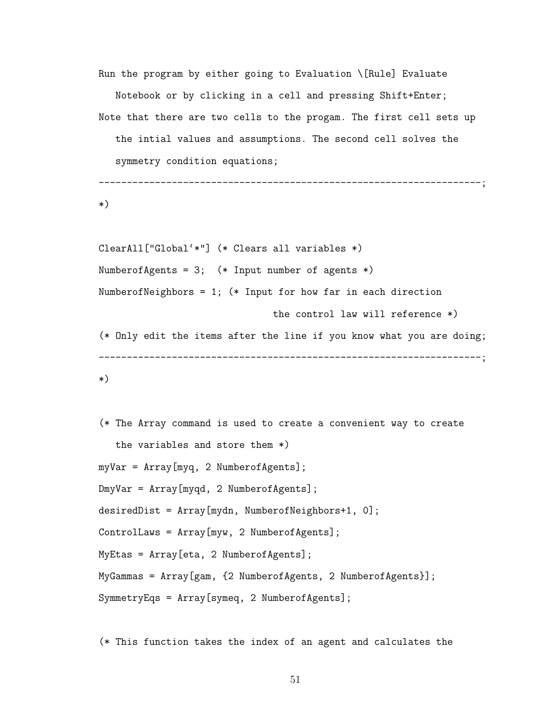Run the program by either going to Evaluation \[Rule] Evaluate Notebook or by clicking in a cell and pressing Shift+Enter; Note that there are two cells to the progam. The first cell sets up the intial values and assumptions. The second cell solves the symmetry condition equations;

--------------------------------------------------------------------;

\*)

```
ClearAll["Global'*"] (* Clears all variables *)
NumberofAgents = 3; (* Input number of agents *)
NumberofNeighbors = 1; (* Input for how far in each direction
                               the control law will reference *)
(* Only edit the items after the line if you know what you are doing;
--------------------------------------------------------------------;
*)
```

```
(* The Array command is used to create a convenient way to create
   the variables and store them *)
myVar = Array[myq, 2 NumberofAgents];
DmyVar = Array[myqd, 2 NumberofAgents];
desiredDist = Array[mydn, NumberofNeighbors+1, 0];
ControlLaws = Array[myw, 2 NumberofAgents];
MyEtas = Array[eta, 2 NumberofAgents];
MyGammas = Array[gam, {2 NumberofAgents, 2 NumberofAgents}];
SymmetryEqs = Array[symeq, 2 NumberofAgents];
```
(\* This function takes the index of an agent and calculates the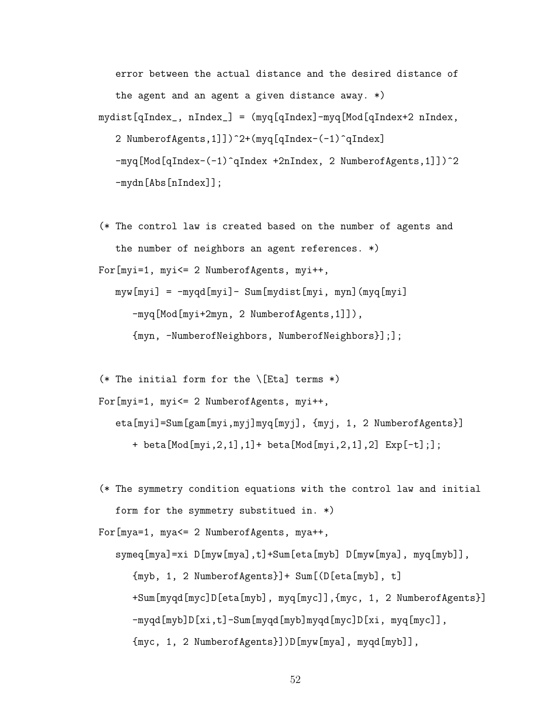error between the actual distance and the desired distance of the agent and an agent a given distance away. \*) mydist[qIndex\_, nIndex\_] = (myq[qIndex]-myq[Mod[qIndex+2 nIndex, 2 NumberofAgents,1]])^2+(myq[qIndex-(-1)^qIndex] -myq[Mod[qIndex-(-1)^qIndex +2nIndex, 2 NumberofAgents,1]])^2 -mydn[Abs[nIndex]];

(\* The control law is created based on the number of agents and the number of neighbors an agent references. \*)

For[myi=1, myi<= 2 NumberofAgents, myi++,

myw[myi] = -myqd[myi]- Sum[mydist[myi, myn](myq[myi] -myq[Mod[myi+2myn, 2 NumberofAgents,1]]), {myn, -NumberofNeighbors, NumberofNeighbors}];];

(\* The initial form for the  $\left\{\text{Eta}\right\}$  terms \*)

```
For[myi=1, myi<= 2 NumberofAgents, myi++,
```
eta[myi]=Sum[gam[myi,myj]myq[myj], {myj, 1, 2 NumberofAgents}]

+ beta[Mod[myi,2,1],1]+ beta[Mod[myi,2,1],2] Exp[-t];];

(\* The symmetry condition equations with the control law and initial form for the symmetry substitued in. \*)

For[mya=1, mya<= 2 NumberofAgents, mya++,

symeq[mya]=xi D[myw[mya],t]+Sum[eta[myb] D[myw[mya], myq[myb]], {myb, 1, 2 NumberofAgents}]+ Sum[(D[eta[myb], t] +Sum[myqd[myc]D[eta[myb], myq[myc]],{myc, 1, 2 NumberofAgents}] -myqd[myb]D[xi,t]-Sum[myqd[myb]myqd[myc]D[xi, myq[myc]], {myc, 1, 2 NumberofAgents}])D[myw[mya], myqd[myb]],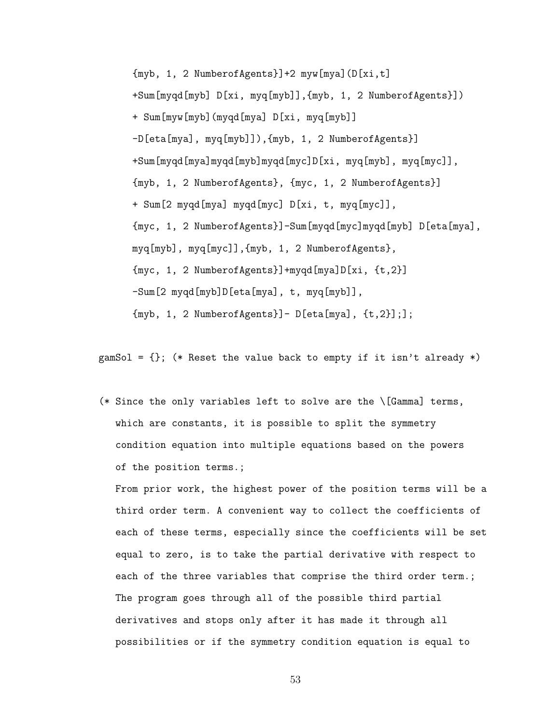{myb, 1, 2 NumberofAgents}]+2 myw[mya](D[xi,t] +Sum[myqd[myb] D[xi, myq[myb]],{myb, 1, 2 NumberofAgents}]) + Sum[myw[myb](myqd[mya] D[xi, myq[myb]] -D[eta[mya], myq[myb]]),{myb, 1, 2 NumberofAgents}] +Sum[myqd[mya]myqd[myb]myqd[myc]D[xi, myq[myb], myq[myc]], {myb, 1, 2 NumberofAgents}, {myc, 1, 2 NumberofAgents}] + Sum[2 myqd[mya] myqd[myc] D[xi, t, myq[myc]], {myc, 1, 2 NumberofAgents}]-Sum[myqd[myc]myqd[myb] D[eta[mya], myq[myb], myq[myc]],{myb, 1, 2 NumberofAgents}, {myc, 1, 2 NumberofAgents}]+myqd[mya]D[xi, {t,2}] -Sum[2 myqd[myb]D[eta[mya], t, myq[myb]], {myb, 1, 2 NumberofAgents}]- D[eta[mya], {t,2}];];

gamSol =  $\{\}$ ; (\* Reset the value back to empty if it isn't already \*)

(\* Since the only variables left to solve are the \[Gamma] terms, which are constants, it is possible to split the symmetry condition equation into multiple equations based on the powers of the position terms.;

From prior work, the highest power of the position terms will be a third order term. A convenient way to collect the coefficients of each of these terms, especially since the coefficients will be set equal to zero, is to take the partial derivative with respect to each of the three variables that comprise the third order term.; The program goes through all of the possible third partial derivatives and stops only after it has made it through all possibilities or if the symmetry condition equation is equal to

53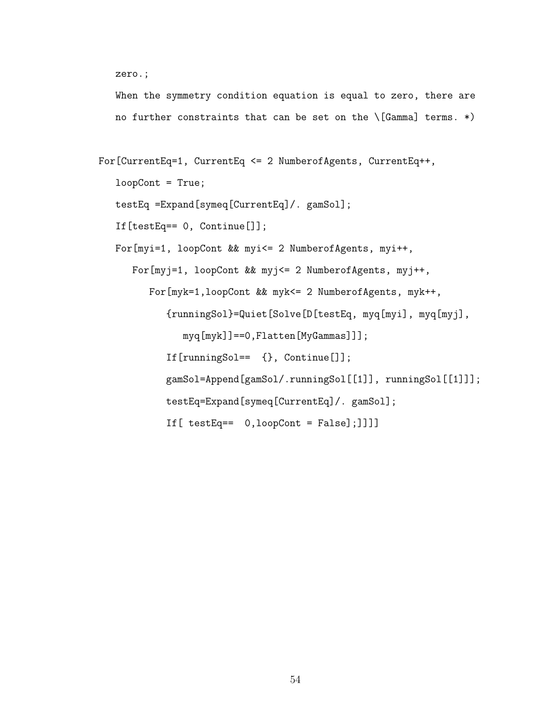```
zero.;
```
When the symmetry condition equation is equal to zero, there are no further constraints that can be set on the  $\Gamma$  (Gamma) terms. \*)

```
For[CurrentEq=1, CurrentEq <= 2 NumberofAgents, CurrentEq++,
   loopCont = True;
   testEq =Expand[symeq[CurrentEq]/. gamSol];
   If[testEq== 0, Continue[]];
   For[myi=1, loopCont && myi<= 2 NumberofAgents, myi++,
      For[myj=1, loopCont && myj<= 2 NumberofAgents, myj++,
         For[myk=1,loopCont && myk<= 2 NumberofAgents, myk++,
            {runningSol}=Quiet[Solve[D[testEq, myq[myi], myq[myj],
               myq[myk]]==0,Flatten[MyGammas]]];
            If[runningSol== {}, Continue[]];
            gamSol=Append[gamSol/.runningSol[[1]], runningSol[[1]]];
            testEq=Expand[symeq[CurrentEq]/. gamSol];
            If[ testEq== 0,loopCont = False];]]]]
```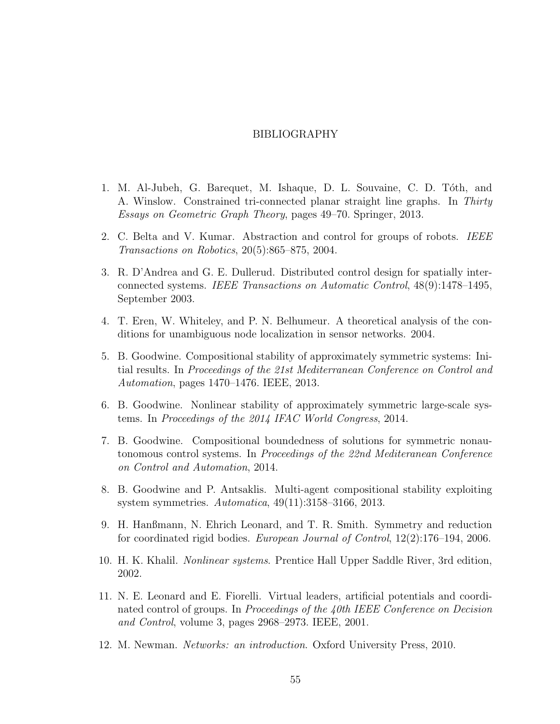## BIBLIOGRAPHY

- <span id="page-66-9"></span><span id="page-66-0"></span>1. M. Al-Jubeh, G. Barequet, M. Ishaque, D. L. Souvaine, C. D. Tóth, and A. Winslow. Constrained tri-connected planar straight line graphs. In Thirty Essays on Geometric Graph Theory, pages 49–70. Springer, 2013.
- <span id="page-66-1"></span>2. C. Belta and V. Kumar. Abstraction and control for groups of robots. IEEE Transactions on Robotics, 20(5):865–875, 2004.
- <span id="page-66-2"></span>3. R. D'Andrea and G. E. Dullerud. Distributed control design for spatially interconnected systems. IEEE Transactions on Automatic Control, 48(9):1478–1495, September 2003.
- <span id="page-66-10"></span>4. T. Eren, W. Whiteley, and P. N. Belhumeur. A theoretical analysis of the conditions for unambiguous node localization in sensor networks. 2004.
- <span id="page-66-4"></span>5. B. Goodwine. Compositional stability of approximately symmetric systems: Initial results. In Proceedings of the 21st Mediterranean Conference on Control and Automation, pages 1470–1476. IEEE, 2013.
- 6. B. Goodwine. Nonlinear stability of approximately symmetric large-scale systems. In Proceedings of the 2014 IFAC World Congress, 2014.
- <span id="page-66-5"></span>7. B. Goodwine. Compositional boundedness of solutions for symmetric nonautonomous control systems. In Proceedings of the 22nd Mediteranean Conference on Control and Automation, 2014.
- <span id="page-66-11"></span>8. B. Goodwine and P. Antsaklis. Multi-agent compositional stability exploiting system symmetries. Automatica, 49(11):3158–3166, 2013.
- <span id="page-66-6"></span>9. H. Hanßmann, N. Ehrich Leonard, and T. R. Smith. Symmetry and reduction for coordinated rigid bodies. European Journal of Control, 12(2):176–194, 2006.
- <span id="page-66-7"></span>10. H. K. Khalil. Nonlinear systems. Prentice Hall Upper Saddle River, 3rd edition, 2002.
- <span id="page-66-3"></span>11. N. E. Leonard and E. Fiorelli. Virtual leaders, artificial potentials and coordinated control of groups. In *Proceedings of the 40th IEEE Conference on Decision* and Control, volume 3, pages 2968–2973. IEEE, 2001.
- <span id="page-66-8"></span>12. M. Newman. Networks: an introduction. Oxford University Press, 2010.